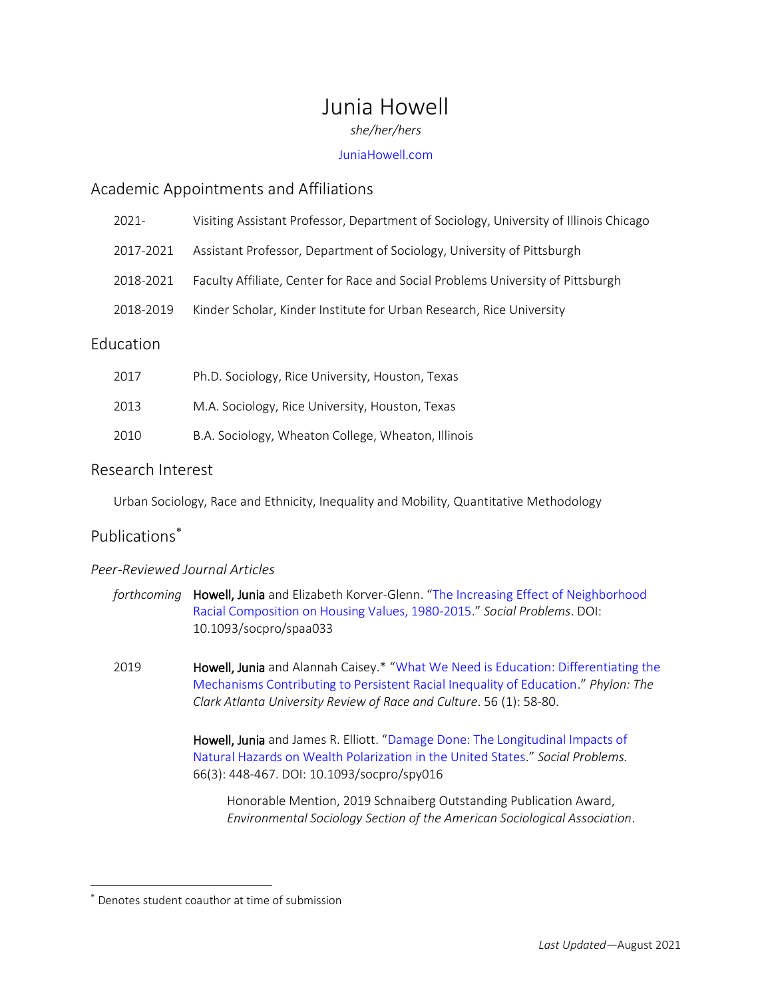# Junia Howell

*she/her/hers*

## [JuniaHowell.com](http://www.juniahowell.com/contact)

# Academic Appointments and Affiliations

| $2021 -$  | Visiting Assistant Professor, Department of Sociology, University of Illinois Chicago |
|-----------|---------------------------------------------------------------------------------------|
| 2017-2021 | Assistant Professor, Department of Sociology, University of Pittsburgh                |
| 2018-2021 | Faculty Affiliate, Center for Race and Social Problems University of Pittsburgh       |
| 2018-2019 | Kinder Scholar, Kinder Institute for Urban Research, Rice University                  |
|           |                                                                                       |

# Education

| 2017 | Ph.D. Sociology, Rice University, Houston, Texas   |
|------|----------------------------------------------------|
| 2013 | M.A. Sociology, Rice University, Houston, Texas    |
| 2010 | B.A. Sociology, Wheaton College, Wheaton, Illinois |

# Research Interest

Urban Sociology, Race and Ethnicity, Inequality and Mobility, Quantitative Methodology

# Publications

 $\overline{\phantom{a}}$ 

# *Peer-Reviewed Journal Articles*

| forthcoming <b>Howell, Junia</b> and Elizabeth Korver-Glenn. "The Increasing Effect of Neighborhood |
|-----------------------------------------------------------------------------------------------------|
| Racial Composition on Housing Values, 1980-2015." Social Problems. DOI:                             |
| 10.1093/socpro/spaa033                                                                              |

2019 **Howell, Junia** and Alannah Caisey.\* "What We Need is Education: Differentiating the [Mechanisms Contributing to Persistent Racial Inequality of Education](https://static1.squarespace.com/static/573ba69bcf80a1323384f7d6/t/5d544ab054f2540001ba2443/1565805234057/Howell+and+Caisey+2019+What+We+Need+is+Education.pdf)." *Phylon: The Clark Atlanta University Review of Race and Culture*. 56 (1): 58-80.

> Howell, Junia and James R. Elliott. "[Damage Done: The Longitudinal Impacts of](https://academic.oup.com/socpro/article/66/3/448/5074453?guestAccessKey=339b3f1e-825b-48c9-af4b-1a2bb9908326)  [Natural Hazards on Wealth Polarization in the United States](https://academic.oup.com/socpro/article/66/3/448/5074453?guestAccessKey=339b3f1e-825b-48c9-af4b-1a2bb9908326)." *Social Problems.* 66(3): 448-467. DOI: 10.1093/socpro/spy016

Honorable Mention, 2019 Schnaiberg Outstanding Publication Award, *Environmental Sociology Section of the American Sociological Association*.

Denotes student coauthor at time of submission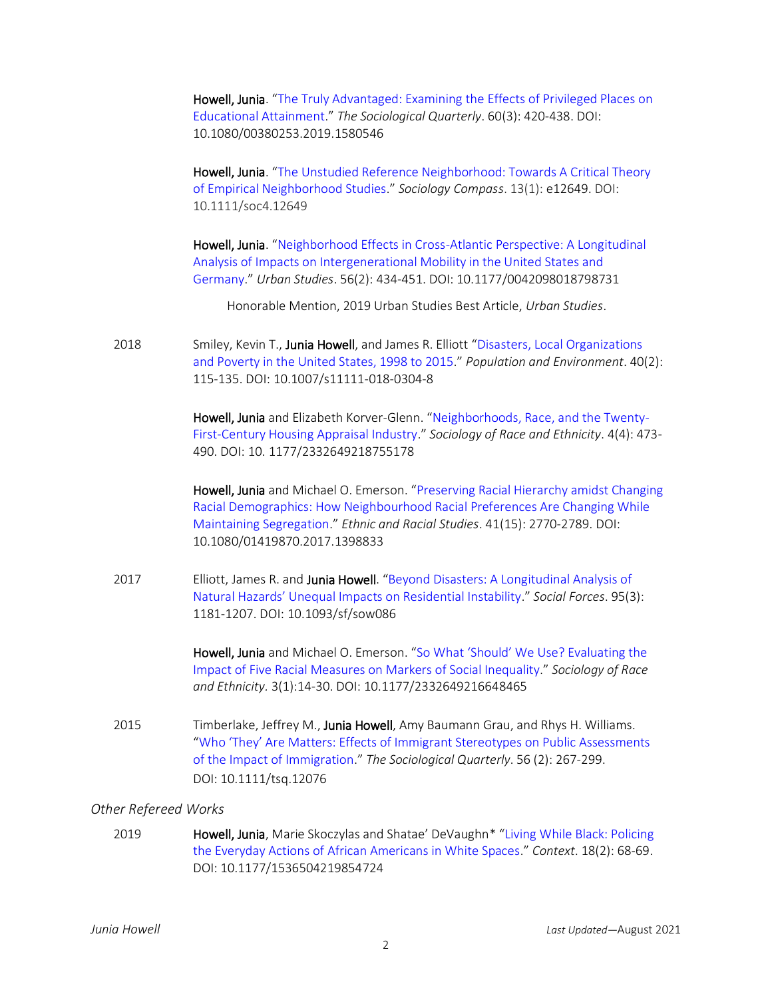Howell, Junia. "[The Truly Advantaged: Examining the Effects of Privileged Places on](https://static1.squarespace.com/static/573ba69bcf80a1323384f7d6/t/60b25bea4bacab46d058d7a4/1622301677055/Howell+2019+The+Truly+Advantaged+Examining+the+Effects+of+Privileged+Places+on+Educational+Attainment.pdf)  [Educational Attainment](https://static1.squarespace.com/static/573ba69bcf80a1323384f7d6/t/60b25bea4bacab46d058d7a4/1622301677055/Howell+2019+The+Truly+Advantaged+Examining+the+Effects+of+Privileged+Places+on+Educational+Attainment.pdf)." *The Sociological Quarterly*. 60(3): 420-438. DOI: 10.1080/00380253.2019.1580546

Howell, Junia. "[The Unstudied Reference Neighborhood: Towards A Critical Theory](https://static1.squarespace.com/static/573ba69bcf80a1323384f7d6/t/60b25c2c3717d7540ba69554/1622301740358/Howell+The+Unstudied+Reference+Neighborhood.pdf)  [of Empirical Neighborhood Studies](https://static1.squarespace.com/static/573ba69bcf80a1323384f7d6/t/60b25c2c3717d7540ba69554/1622301740358/Howell+The+Unstudied+Reference+Neighborhood.pdf)." *Sociology Compass*. 13(1): e12649. DOI: 10.1111/soc4.12649

Howell, Junia. "Neighborhood Effects in Cross-Atlantic Perspective: A Longitudinal [Analysis of Impacts on Intergenerational Mobility in the United States and](https://static1.squarespace.com/static/573ba69bcf80a1323384f7d6/t/60b25c9eda68ad5e09d1fe4c/1622301855279/Howell+2019+Neighbourhood+Effects+in+Cross-Atlantic+Perspective.pdf)  [Germany](https://static1.squarespace.com/static/573ba69bcf80a1323384f7d6/t/60b25c9eda68ad5e09d1fe4c/1622301855279/Howell+2019+Neighbourhood+Effects+in+Cross-Atlantic+Perspective.pdf)." *Urban Studies*. 56(2): 434-451. DOI: 10.1177/0042098018798731

Honorable Mention, 2019 Urban Studies Best Article, *Urban Studies*.

2018 Smiley, Kevin T., Junia Howell, and James R. Elliott "Disasters, Local Organizations [and Poverty in the United States, 1998 to 2015](https://static1.squarespace.com/static/573ba69bcf80a1323384f7d6/t/60b25ef99be80712993c1084/1622302459334/Smiley%2C+Howell+and+Elliott+2018+Disasters+Local+Organizations+and+Poverty+in+the+USA.pdf)." *Population and Environment*. 40(2): 115-135. DOI: 10.1007/s11111-018-0304-8

> Howell, Junia and Elizabeth Korver-Glenn. "[Neighborhoods, Race, and the Twenty-](https://journals.sagepub.com/eprint/NGfXH7DQVcKnfcyZwW4P/full)[First-Century Housing Appraisal Industry](https://journals.sagepub.com/eprint/NGfXH7DQVcKnfcyZwW4P/full)." *Sociology of Race and Ethnicity*. 4(4): 473- 490. DOI: 10. 1177/2332649218755178

> Howell, Junia and Michael O. Emerson. "[Preserving Racial Hierarchy amidst Changing](https://static1.squarespace.com/static/573ba69bcf80a1323384f7d6/t/60b25ff9643190163241ed9f/1622302715478/Howell+and+Emerson+Preserving+racial+hierarchy+amidst+changing+racial+demographics.pdf)  [Racial Demographics: How Neighbourhood Racial Preferences Are Changing While](https://static1.squarespace.com/static/573ba69bcf80a1323384f7d6/t/60b25ff9643190163241ed9f/1622302715478/Howell+and+Emerson+Preserving+racial+hierarchy+amidst+changing+racial+demographics.pdf)  [Maintaining Segregation](https://static1.squarespace.com/static/573ba69bcf80a1323384f7d6/t/60b25ff9643190163241ed9f/1622302715478/Howell+and+Emerson+Preserving+racial+hierarchy+amidst+changing+racial+demographics.pdf)." *Ethnic and Racial Studies*. 41(15): 2770-2789. DOI: 10.1080/01419870.2017.1398833

2017 Elliott, James R. and Junia Howell. "Beyond Disasters: A Longitudinal Analysis of [Natural Hazards' Unequal Impacts on Residential Instability.](https://static1.squarespace.com/static/573ba69bcf80a1323384f7d6/t/60b25f7b6f43635207400ad8/1622302588625/Elliott+and+Howell+2017+Beyond+Disasters.pdf)" *Social Forces*. 95(3): 1181-1207. DOI: 10.1093/sf/sow086

> Howell, Junia and Michael O. Emerson. ["So What 'Should' We Use? Evaluating the](https://static1.squarespace.com/static/573ba69bcf80a1323384f7d6/t/60b2605aa274f771bee9679f/1622302810637/Howell+and+Emerson+2017+So+What+%E2%80%9CShould%E2%80%9D+We+Use.pdf)  [Impact of Five Racial Measures on Markers of Social Inequality](https://static1.squarespace.com/static/573ba69bcf80a1323384f7d6/t/60b2605aa274f771bee9679f/1622302810637/Howell+and+Emerson+2017+So+What+%E2%80%9CShould%E2%80%9D+We+Use.pdf)." *Sociology of Race and Ethnicity.* 3(1):14-30. DOI: 10.1177/2332649216648465

2015 Timberlake, Jeffrey M., Junia Howell, Amy Baumann Grau, and Rhys H. Williams. ["Who 'They' Are Matters: Effects of Immigrant Stereotypes on Public Assessments](https://static1.squarespace.com/static/573ba69bcf80a1323384f7d6/t/5a254aa553450a9dabcd2c24/1512393382315/Timberlake_et_al-2015-The_Sociological_Quarterly.pdf)  [of the Impact of Immigration](https://static1.squarespace.com/static/573ba69bcf80a1323384f7d6/t/5a254aa553450a9dabcd2c24/1512393382315/Timberlake_et_al-2015-The_Sociological_Quarterly.pdf)." *The Sociological Quarterly*. 56 (2): 267-299. DOI: 10.1111/tsq.12076

## *Other Refereed Works*

2019 **Howell, Junia**, Marie Skoczylas and Shatae' DeVaughn\* "Living While Black: Policing the Everyday Actions of [African Americans in White Spaces](https://journals.sagepub.com/doi/full/10.1177/1536504219854724)." *Context*. 18(2): 68-69. DOI: 10.1177/1536504219854724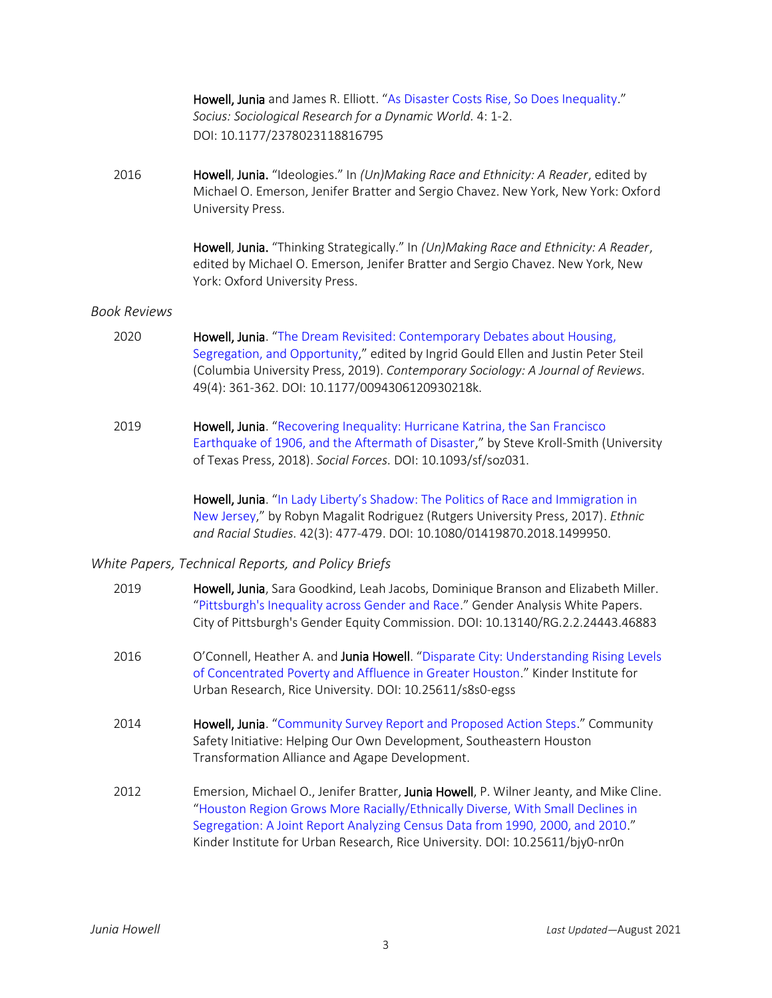Howell, Junia and James R. Elliott. "[As Disaster Costs Rise, So Does Inequality](https://journals.sagepub.com/doi/full/10.1177/2378023118816795)." *Socius: Sociological Research for a Dynamic World.* 4: 1-2. DOI: 10.1177/2378023118816795

2016 Howell, Junia. "Ideologies." In *(Un)Making Race and Ethnicity: A Reader*, edited by Michael O. Emerson, Jenifer Bratter and Sergio Chavez. New York, New York: Oxford University Press.

> Howell, Junia. "Thinking Strategically." In *(Un)Making Race and Ethnicity: A Reader*, edited by Michael O. Emerson, Jenifer Bratter and Sergio Chavez. New York, New York: Oxford University Press.

## *Book Reviews*

- 2020 **Howell, Junia**. "The Dream Revisited: Contemporary Debates about Housing, [Segregation, and Opportunity](https://journals.sagepub.com/eprint/WURFKEKBNVBZYR7BNMBS/full)," edited by Ingrid Gould Ellen and Justin Peter Steil (Columbia University Press, 2019). *Contemporary Sociology: A Journal of Reviews.* 49(4): 361-362. DOI: 10.1177/0094306120930218k.
- 2019 **Howell, Junia**. "Recovering Inequality: Hurricane Katrina, the San Francisco [Earthquake of 1906, and the Aftermath of Disaster](https://static1.squarespace.com/static/573ba69bcf80a1323384f7d6/t/5cbf0802f4e1fca95333106b/1556023298972/Howell%27s+Review+of+Kroll-Smith%27s+Recovering+Inequality.pdf)," by Steve Kroll-Smith (University of Texas Press, 2018). *Social Forces.* DOI: 10.1093/sf/soz031.

Howell, Junia. "In Lady Liberty's Shadow: The Politics of Race and Immigration in [New Jersey](https://www.tandfonline.com/doi/abs/10.1080/01419870.2018.1499950)," by Robyn Magalit Rodriguez (Rutgers University Press, 2017). *Ethnic and Racial Studies.* 42(3): 477-479. DOI: 10.1080/01419870.2018.1499950.

## *White Papers, Technical Reports, and Policy Briefs*

| 2019 | Howell, Junia, Sara Goodkind, Leah Jacobs, Dominique Branson and Elizabeth Miller.<br>"Pittsburgh's Inequality across Gender and Race." Gender Analysis White Papers.<br>City of Pittsburgh's Gender Equity Commission. DOI: 10.13140/RG.2.2.24443.46883                                                                                   |
|------|--------------------------------------------------------------------------------------------------------------------------------------------------------------------------------------------------------------------------------------------------------------------------------------------------------------------------------------------|
| 2016 | O'Connell, Heather A. and Junia Howell. "Disparate City: Understanding Rising Levels<br>of Concentrated Poverty and Affluence in Greater Houston." Kinder Institute for<br>Urban Research, Rice University. DOI: 10.25611/s8s0-egss                                                                                                        |
| 2014 | Howell, Junia. "Community Survey Report and Proposed Action Steps." Community<br>Safety Initiative: Helping Our Own Development, Southeastern Houston<br>Transformation Alliance and Agape Development.                                                                                                                                    |
| 2012 | Emersion, Michael O., Jenifer Bratter, Junia Howell, P. Wilner Jeanty, and Mike Cline.<br>"Houston Region Grows More Racially/Ethnically Diverse, With Small Declines in<br>Segregation: A Joint Report Analyzing Census Data from 1990, 2000, and 2010."<br>Kinder Institute for Urban Research, Rice University. DOI: 10.25611/bjy0-nr0n |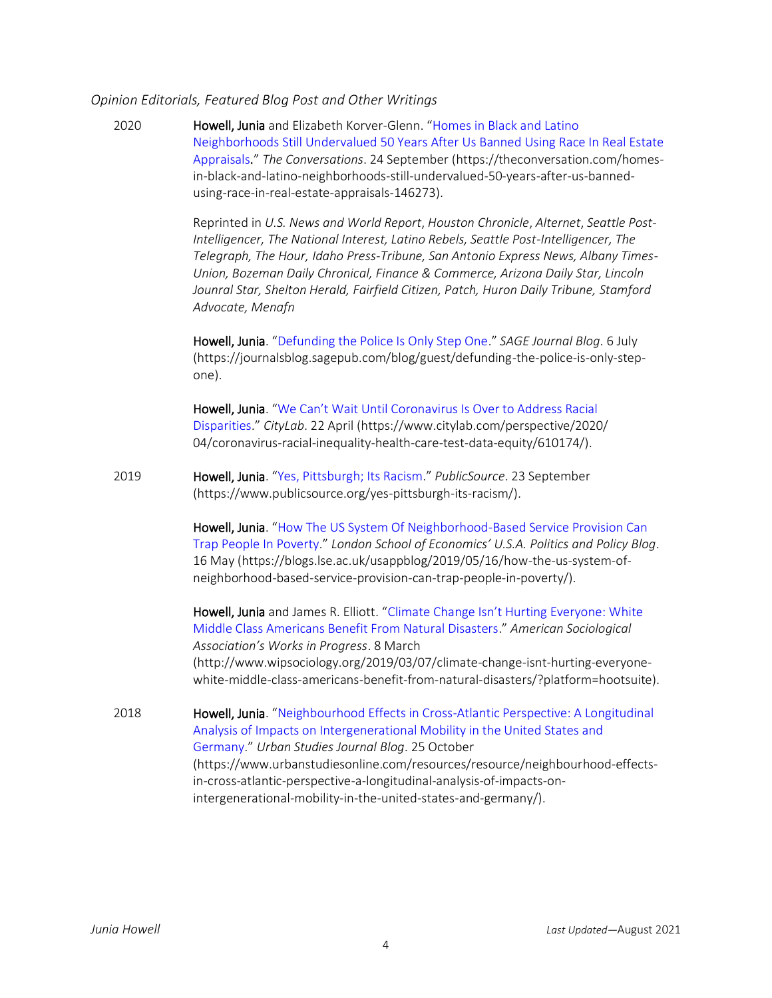## *Opinion Editorials, Featured Blog Post and Other Writings*

2020 Howell, Junia and Elizabeth Korver-Glenn. "[Homes](https://theconversation.com/homes-in-black-and-latino-neighborhoods-still-undervalued-50-years-after-us-banned-using-race-in-real-estate-appraisals-146273) in Black and Latino [Neighborhoods](https://theconversation.com/homes-in-black-and-latino-neighborhoods-still-undervalued-50-years-after-us-banned-using-race-in-real-estate-appraisals-146273) Still Undervalued 50 Years After Us Banned Using Race In Real Estate [Appraisals.](https://theconversation.com/homes-in-black-and-latino-neighborhoods-still-undervalued-50-years-after-us-banned-using-race-in-real-estate-appraisals-146273)" *The Conversations*. 24 September (https://theconversation.com/homesin-black-and-latino-neighborhoods-still-undervalued-50-years-after-us-bannedusing-race-in-real-estate-appraisals-146273).

> Reprinted in *U.S. News and World Report*, *Houston Chronicle*, *Alternet*, *Seattle Post-Intelligencer, The National Interest, Latino Rebels, Seattle Post-Intelligencer, The Telegraph, The Hour, Idaho Press-Tribune, San Antonio Express News, Albany Times-Union, Bozeman Daily Chronical, Finance & Commerce, Arizona Daily Star, Lincoln Jounral Star, Shelton Herald, Fairfield Citizen, Patch, Huron Daily Tribune, Stamford Advocate, Menafn*

Howell, Junia. "[Defunding the Police Is Only Step One](https://journalsblog.sagepub.com/blog/guest/defunding-the-police-is-only-step-one)." *SAGE Journal Blog*. 6 July (https://journalsblog.sagepub.com/blog/guest/defunding-the-police-is-only-stepone).

Howell, Junia. "We Can't Wait Until Coronavirus Is Over to Address Racial [Disparities](https://www.citylab.com/perspective/2020/%2004/coronavirus-racial-inequality-health-care-test-data-equity/610174/)." *CityLab*. 22 April (https://www.citylab.com/perspective/2020/ 04/coronavirus-racial-inequality-health-care-test-data-equity/610174/).

2019 Howell, Junia. "[Yes, Pittsburgh; Its Racism](https://www.publicsource.org/yes-pittsburgh-its-racism/)." *PublicSource*. 23 September (https://www.publicsource.org/yes-pittsburgh-its-racism/).

> Howell, Junia. "How The US System Of Neighborhood-Based Service Provision Can [Trap People In Poverty](https://blogs.lse.ac.uk/usappblog/2019/05/16/how-the-us-system-of-neighborhood-based-service-provision-can-trap-people-in-poverty/)." *London School of Economics' U.S.A. Politics and Policy Blog*. 16 May (https://blogs.lse.ac.uk/usappblog/2019/05/16/how-the-us-system-ofneighborhood-based-service-provision-can-trap-people-in-poverty/).

> Howell, Junia and James R. Elliott. ["Climate Change Isn't Hurting Everyone: White](http://www.wipsociology.org/2019/03/07/climate-change-isnt-hurting-everyone-white-middle-class-americans-benefit-from-natural-disasters/?platform=hootsuite)  [Middle Class Americans Benefit From Natural Disasters](http://www.wipsociology.org/2019/03/07/climate-change-isnt-hurting-everyone-white-middle-class-americans-benefit-from-natural-disasters/?platform=hootsuite)." *American Sociological Association's Works in Progress*. 8 March (http://www.wipsociology.org/2019/03/07/climate-change-isnt-hurting-everyonewhite-middle-class-americans-benefit-from-natural-disasters/?platform=hootsuite).

2018 **Howell, Junia**. "Neighbourhood Effects in Cross-Atlantic Perspective: A Longitudinal [Analysis of Impacts on Intergenerational Mobility in the United States and](https://www.urbanstudiesonline.com/resources/resource/neighbourhood-effects-in-cross-atlantic-perspective-a-longitudinal-analysis-of-impacts-on-intergenerational-mobility-in-the-united-states-and-germany/)  [Germany](https://www.urbanstudiesonline.com/resources/resource/neighbourhood-effects-in-cross-atlantic-perspective-a-longitudinal-analysis-of-impacts-on-intergenerational-mobility-in-the-united-states-and-germany/)." *Urban Studies Journal Blog*. 25 October (https://www.urbanstudiesonline.com/resources/resource/neighbourhood-effectsin-cross-atlantic-perspective-a-longitudinal-analysis-of-impacts-onintergenerational-mobility-in-the-united-states-and-germany/).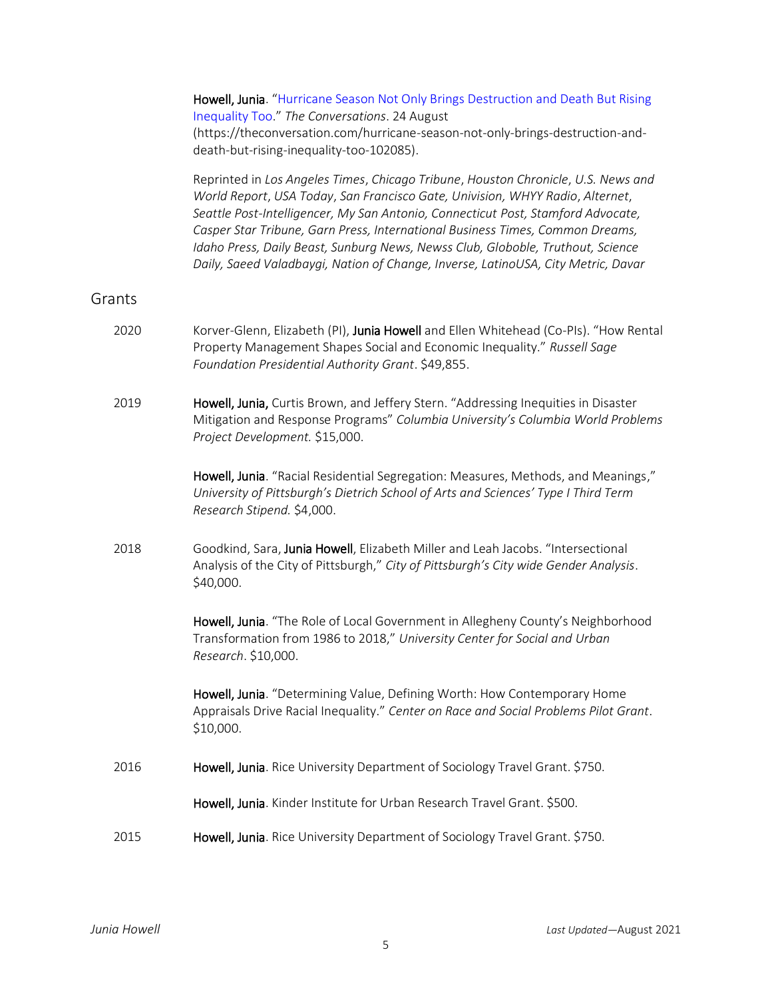|        | Inequality Too." The Conversations. 24 August<br>(https://theconversation.com/hurricane-season-not-only-brings-destruction-and-<br>death-but-rising-inequality-too-102085).                                                                                                                                                                                                                                                                                                                                     |
|--------|-----------------------------------------------------------------------------------------------------------------------------------------------------------------------------------------------------------------------------------------------------------------------------------------------------------------------------------------------------------------------------------------------------------------------------------------------------------------------------------------------------------------|
|        | Reprinted in Los Angeles Times, Chicago Tribune, Houston Chronicle, U.S. News and<br>World Report, USA Today, San Francisco Gate, Univision, WHYY Radio, Alternet,<br>Seattle Post-Intelligencer, My San Antonio, Connecticut Post, Stamford Advocate,<br>Casper Star Tribune, Garn Press, International Business Times, Common Dreams,<br>Idaho Press, Daily Beast, Sunburg News, Newss Club, Globoble, Truthout, Science<br>Daily, Saeed Valadbaygi, Nation of Change, Inverse, LatinoUSA, City Metric, Davar |
| Grants |                                                                                                                                                                                                                                                                                                                                                                                                                                                                                                                 |
| 2020   | Korver-Glenn, Elizabeth (PI), Junia Howell and Ellen Whitehead (Co-PIs). "How Rental<br>Property Management Shapes Social and Economic Inequality." Russell Sage<br>Foundation Presidential Authority Grant. \$49,855.                                                                                                                                                                                                                                                                                          |
| 2019   | Howell, Junia, Curtis Brown, and Jeffery Stern. "Addressing Inequities in Disaster<br>Mitigation and Response Programs" Columbia University's Columbia World Problems<br>Project Development. \$15,000.                                                                                                                                                                                                                                                                                                         |
|        | Howell, Junia. "Racial Residential Segregation: Measures, Methods, and Meanings,"<br>University of Pittsburgh's Dietrich School of Arts and Sciences' Type I Third Term<br>Research Stipend. \$4,000.                                                                                                                                                                                                                                                                                                           |
| 2018   | Goodkind, Sara, Junia Howell, Elizabeth Miller and Leah Jacobs. "Intersectional<br>Analysis of the City of Pittsburgh," City of Pittsburgh's City wide Gender Analysis.<br>\$40,000.                                                                                                                                                                                                                                                                                                                            |
|        | Howell, Junia. "The Role of Local Government in Allegheny County's Neighborhood<br>Transformation from 1986 to 2018," University Center for Social and Urban<br>Research. \$10,000.                                                                                                                                                                                                                                                                                                                             |
|        | Howell, Junia. "Determining Value, Defining Worth: How Contemporary Home<br>Appraisals Drive Racial Inequality." Center on Race and Social Problems Pilot Grant.<br>\$10,000.                                                                                                                                                                                                                                                                                                                                   |
| 2016   | Howell, Junia. Rice University Department of Sociology Travel Grant. \$750.                                                                                                                                                                                                                                                                                                                                                                                                                                     |
|        | Howell, Junia. Kinder Institute for Urban Research Travel Grant. \$500.                                                                                                                                                                                                                                                                                                                                                                                                                                         |
| 2015   | Howell, Junia. Rice University Department of Sociology Travel Grant. \$750.                                                                                                                                                                                                                                                                                                                                                                                                                                     |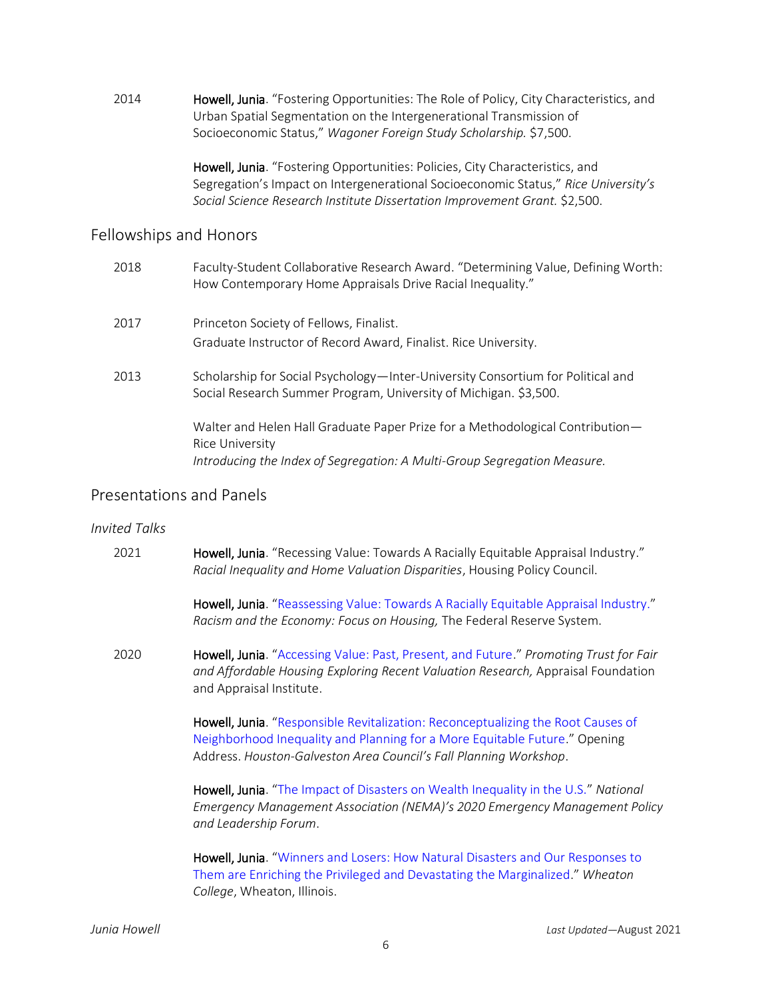2014 Howell, Junia. "Fostering Opportunities: The Role of Policy, City Characteristics, and Urban Spatial Segmentation on the Intergenerational Transmission of Socioeconomic Status," *Wagoner Foreign Study Scholarship.* \$7,500.

> Howell, Junia. "Fostering Opportunities: Policies, City Characteristics, and Segregation's Impact on Intergenerational Socioeconomic Status," *Rice University's Social Science Research Institute Dissertation Improvement Grant.* \$2,500.

# Fellowships and Honors

| 2018 | Faculty-Student Collaborative Research Award. "Determining Value, Defining Worth:<br>How Contemporary Home Appraisals Drive Racial Inequality."                              |
|------|------------------------------------------------------------------------------------------------------------------------------------------------------------------------------|
| 2017 | Princeton Society of Fellows, Finalist.                                                                                                                                      |
|      | Graduate Instructor of Record Award, Finalist. Rice University.                                                                                                              |
| 2013 | Scholarship for Social Psychology—Inter-University Consortium for Political and<br>Social Research Summer Program, University of Michigan. \$3,500.                          |
|      | Walter and Helen Hall Graduate Paper Prize for a Methodological Contribution-<br>Rice University<br>Introducing the Index of Segregation: A Multi-Group Segregation Measure. |
|      |                                                                                                                                                                              |

# Presentations and Panels

# *Invited Talks*

| 2021 | Howell, Junia. "Recessing Value: Towards A Racially Equitable Appraisal Industry."<br>Racial Inequality and Home Valuation Disparities, Housing Policy Council.                                                                     |
|------|-------------------------------------------------------------------------------------------------------------------------------------------------------------------------------------------------------------------------------------|
|      | Howell, Junia. "Reassessing Value: Towards A Racially Equitable Appraisal Industry."<br>Racism and the Economy: Focus on Housing, The Federal Reserve System.                                                                       |
| 2020 | Howell, Junia. "Accessing Value: Past, Present, and Future." Promoting Trust for Fair<br>and Affordable Housing Exploring Recent Valuation Research, Appraisal Foundation<br>and Appraisal Institute.                               |
|      | Howell, Junia. "Responsible Revitalization: Reconceptualizing the Root Causes of<br>Neighborhood Inequality and Planning for a More Equitable Future." Opening<br>Address. Houston-Galveston Area Council's Fall Planning Workshop. |
|      | Howell, Junia. "The Impact of Disasters on Wealth Inequality in the U.S." National<br>Emergency Management Association (NEMA)'s 2020 Emergency Management Policy<br>and Leadership Forum.                                           |
|      | Howell, Junia. "Winners and Losers: How Natural Disasters and Our Responses to<br>Them are Enriching the Privileged and Devastating the Marginalized." Wheaton<br>College, Wheaton, Illinois.                                       |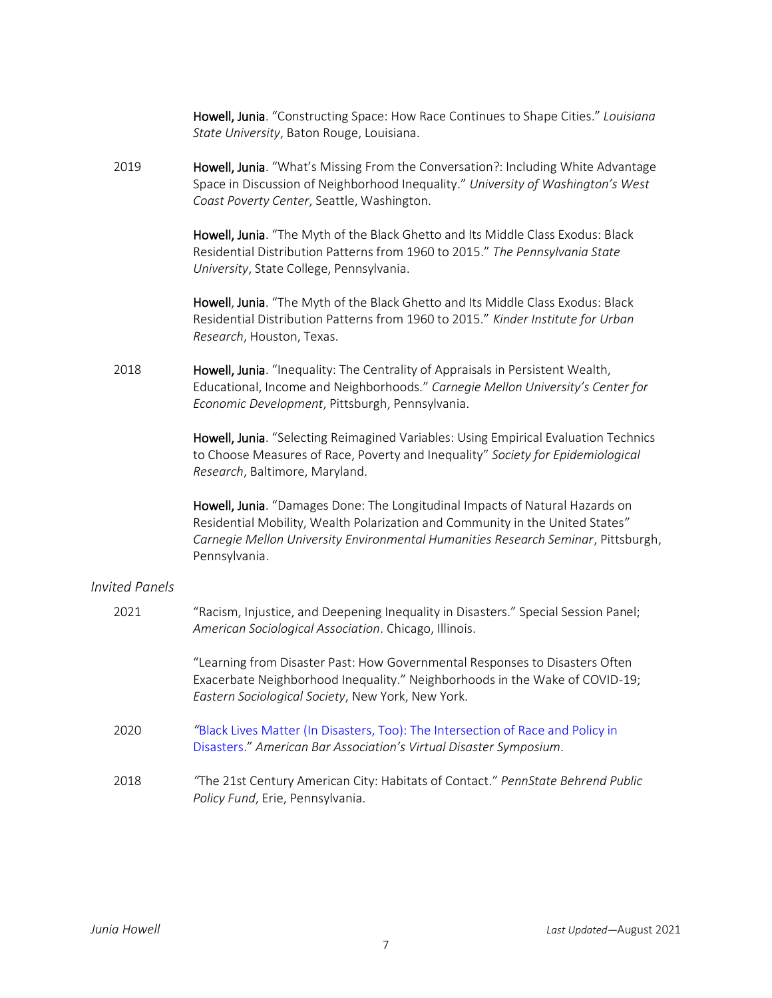|                       | Howell, Junia. "Constructing Space: How Race Continues to Shape Cities." Louisiana<br>State University, Baton Rouge, Louisiana.                                                                                                                                     |
|-----------------------|---------------------------------------------------------------------------------------------------------------------------------------------------------------------------------------------------------------------------------------------------------------------|
| 2019                  | Howell, Junia. "What's Missing From the Conversation?: Including White Advantage<br>Space in Discussion of Neighborhood Inequality." University of Washington's West<br>Coast Poverty Center, Seattle, Washington.                                                  |
|                       | Howell, Junia. "The Myth of the Black Ghetto and Its Middle Class Exodus: Black<br>Residential Distribution Patterns from 1960 to 2015." The Pennsylvania State<br>University, State College, Pennsylvania.                                                         |
|                       | Howell, Junia. "The Myth of the Black Ghetto and Its Middle Class Exodus: Black<br>Residential Distribution Patterns from 1960 to 2015." Kinder Institute for Urban<br>Research, Houston, Texas.                                                                    |
| 2018                  | Howell, Junia. "Inequality: The Centrality of Appraisals in Persistent Wealth,<br>Educational, Income and Neighborhoods." Carnegie Mellon University's Center for<br>Economic Development, Pittsburgh, Pennsylvania.                                                |
|                       | Howell, Junia. "Selecting Reimagined Variables: Using Empirical Evaluation Technics<br>to Choose Measures of Race, Poverty and Inequality" Society for Epidemiological<br>Research, Baltimore, Maryland.                                                            |
|                       | Howell, Junia. "Damages Done: The Longitudinal Impacts of Natural Hazards on<br>Residential Mobility, Wealth Polarization and Community in the United States"<br>Carnegie Mellon University Environmental Humanities Research Seminar, Pittsburgh,<br>Pennsylvania. |
| <b>Invited Panels</b> |                                                                                                                                                                                                                                                                     |
| 2021                  | "Racism, Injustice, and Deepening Inequality in Disasters." Special Session Panel;<br>American Sociological Association. Chicago, Illinois.                                                                                                                         |
|                       | "Learning from Disaster Past: How Governmental Responses to Disasters Often<br>Exacerbate Neighborhood Inequality." Neighborhoods in the Wake of COVID-19;<br>Eastern Sociological Society, New York, New York.                                                     |
| 2020                  | "Black Lives Matter (In Disasters, Too): The Intersection of Race and Policy in<br>Disasters." American Bar Association's Virtual Disaster Symposium.                                                                                                               |
| 2018                  | "The 21st Century American City: Habitats of Contact." PennState Behrend Public<br>Policy Fund, Erie, Pennsylvania.                                                                                                                                                 |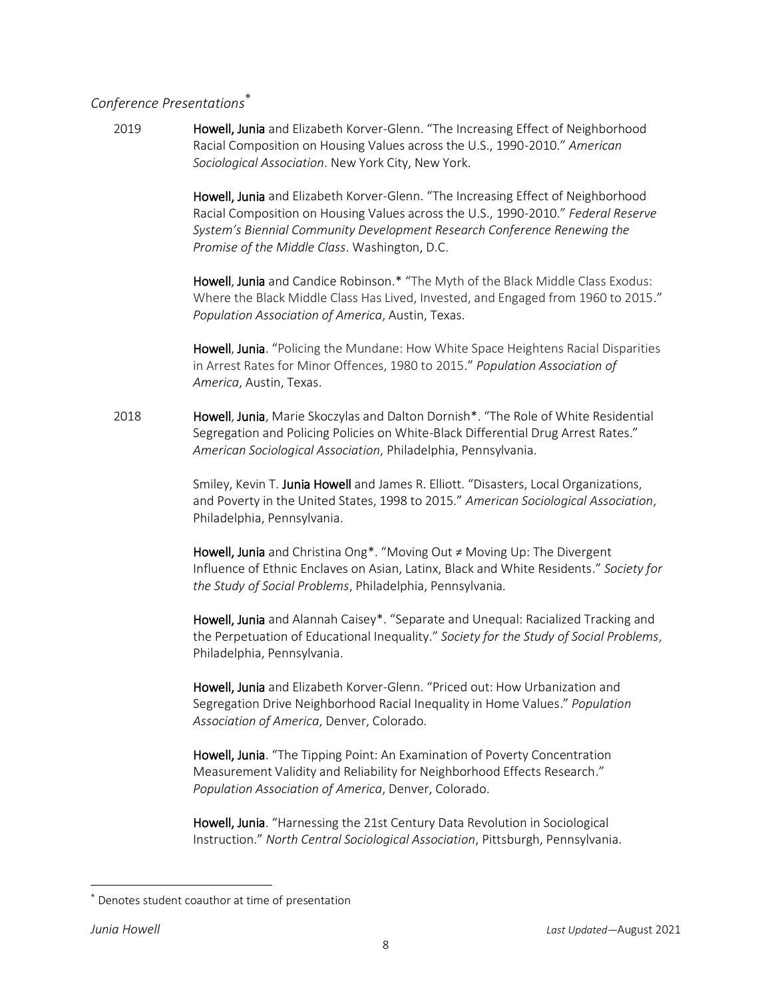# *Conference Presentations*

2019 **Howell, Junia** and Elizabeth Korver-Glenn. "The Increasing Effect of Neighborhood Racial Composition on Housing Values across the U.S., 1990-2010." *American Sociological Association*. New York City, New York.

> Howell, Junia and Elizabeth Korver-Glenn. "The Increasing Effect of Neighborhood Racial Composition on Housing Values across the U.S., 1990-2010." *Federal Reserve System's Biennial Community Development Research Conference Renewing the Promise of the Middle Class*. Washington, D.C.

> Howell, Junia and Candice Robinson.\* "The Myth of the Black Middle Class Exodus: Where the Black Middle Class Has Lived, Invested, and Engaged from 1960 to 2015." *Population Association of America*, Austin, Texas.

> Howell, Junia. "Policing the Mundane: How White Space Heightens Racial Disparities in Arrest Rates for Minor Offences, 1980 to 2015." *Population Association of America*, Austin, Texas.

2018 **Howell, Junia,** Marie Skoczylas and Dalton Dornish<sup>\*</sup>. "The Role of White Residential Segregation and Policing Policies on White-Black Differential Drug Arrest Rates." *American Sociological Association*, Philadelphia, Pennsylvania.

> Smiley, Kevin T. Junia Howell and James R. Elliott. "Disasters, Local Organizations, and Poverty in the United States, 1998 to 2015." *American Sociological Association*, Philadelphia, Pennsylvania.

Howell, Junia and Christina Ong\*. "Moving Out ≠ Moving Up: The Divergent Influence of Ethnic Enclaves on Asian, Latinx, Black and White Residents." *Society for the Study of Social Problems*, Philadelphia, Pennsylvania.

Howell, Junia and Alannah Caisey\*. "Separate and Unequal: Racialized Tracking and the Perpetuation of Educational Inequality." *Society for the Study of Social Problems*, Philadelphia, Pennsylvania.

Howell, Junia and Elizabeth Korver-Glenn. "Priced out: How Urbanization and Segregation Drive Neighborhood Racial Inequality in Home Values." *Population Association of America*, Denver, Colorado.

Howell, Junia. "The Tipping Point: An Examination of Poverty Concentration Measurement Validity and Reliability for Neighborhood Effects Research." *Population Association of America*, Denver, Colorado.

Howell, Junia. "Harnessing the 21st Century Data Revolution in Sociological Instruction." *North Central Sociological Association*, Pittsburgh, Pennsylvania.

 $\overline{\phantom{a}}$ 

Denotes student coauthor at time of presentation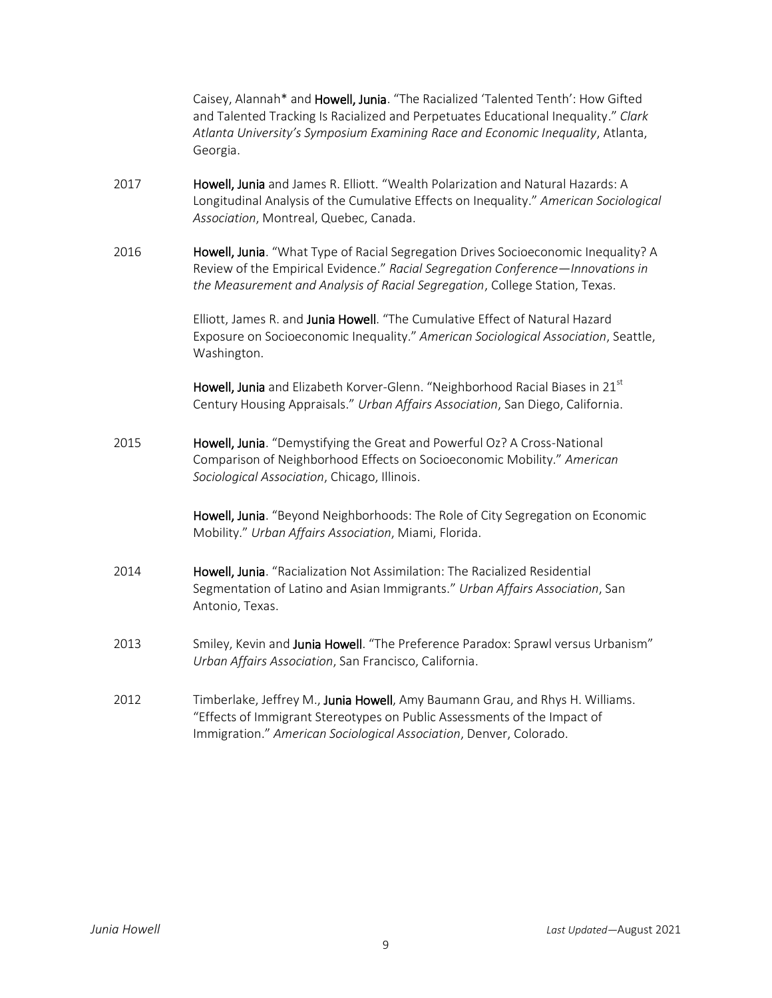Caisey, Alannah\* and Howell, Junia. "The Racialized 'Talented Tenth': How Gifted and Talented Tracking Is Racialized and Perpetuates Educational Inequality." *Clark Atlanta University's Symposium Examining Race and Economic Inequality*, Atlanta, Georgia.

- 2017 **Howell, Junia** and James R. Elliott. "Wealth Polarization and Natural Hazards: A Longitudinal Analysis of the Cumulative Effects on Inequality." *American Sociological Association*, Montreal, Quebec, Canada.
- 2016 **Howell, Junia**. "What Type of Racial Segregation Drives Socioeconomic Inequality? A Review of the Empirical Evidence." *Racial Segregation Conference—Innovations in the Measurement and Analysis of Racial Segregation*, College Station, Texas.

Elliott, James R. and Junia Howell. "The Cumulative Effect of Natural Hazard Exposure on Socioeconomic Inequality." *American Sociological Association*, Seattle, Washington.

Howell, Junia and Elizabeth Korver-Glenn. "Neighborhood Racial Biases in 21st Century Housing Appraisals." *Urban Affairs Association*, San Diego, California.

2015 Howell, Junia. "Demystifying the Great and Powerful Oz? A Cross-National Comparison of Neighborhood Effects on Socioeconomic Mobility." *American Sociological Association*, Chicago, Illinois.

> Howell, Junia. "Beyond Neighborhoods: The Role of City Segregation on Economic Mobility." *Urban Affairs Association*, Miami, Florida.

- 2014 **Howell, Junia**. "Racialization Not Assimilation: The Racialized Residential Segmentation of Latino and Asian Immigrants." *Urban Affairs Association*, San Antonio, Texas.
- 2013 Smiley, Kevin and Junia Howell. "The Preference Paradox: Sprawl versus Urbanism" *Urban Affairs Association*, San Francisco, California.
- 2012 Timberlake, Jeffrey M., Junia Howell, Amy Baumann Grau, and Rhys H. Williams. "Effects of Immigrant Stereotypes on Public Assessments of the Impact of Immigration." *American Sociological Association*, Denver, Colorado.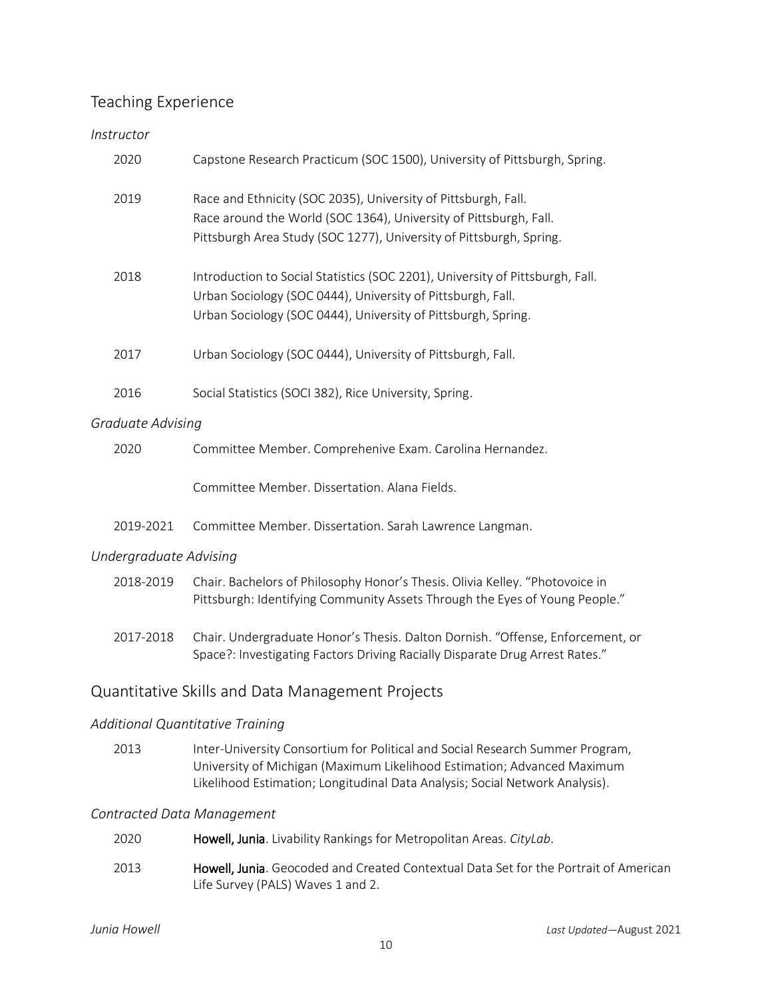# Teaching Experience

# *Instructor*

| 2020              | Capstone Research Practicum (SOC 1500), University of Pittsburgh, Spring.                                                                                                                                     |  |
|-------------------|---------------------------------------------------------------------------------------------------------------------------------------------------------------------------------------------------------------|--|
| 2019              | Race and Ethnicity (SOC 2035), University of Pittsburgh, Fall.<br>Race around the World (SOC 1364), University of Pittsburgh, Fall.<br>Pittsburgh Area Study (SOC 1277), University of Pittsburgh, Spring.    |  |
| 2018              | Introduction to Social Statistics (SOC 2201), University of Pittsburgh, Fall.<br>Urban Sociology (SOC 0444), University of Pittsburgh, Fall.<br>Urban Sociology (SOC 0444), University of Pittsburgh, Spring. |  |
| 2017              | Urban Sociology (SOC 0444), University of Pittsburgh, Fall.                                                                                                                                                   |  |
| 2016              | Social Statistics (SOCI 382), Rice University, Spring.                                                                                                                                                        |  |
| Graduate Advising |                                                                                                                                                                                                               |  |
| 2020              | Committee Member. Comprehenive Exam. Carolina Hernandez.                                                                                                                                                      |  |
|                   | Committee Member. Dissertation. Alana Fields.                                                                                                                                                                 |  |
| 2019-2021         | Committee Member. Dissertation. Sarah Lawrence Langman.                                                                                                                                                       |  |

## *Undergraduate Advising*

| 2018-2019 | Chair. Bachelors of Philosophy Honor's Thesis. Olivia Kelley. "Photovoice in |
|-----------|------------------------------------------------------------------------------|
|           | Pittsburgh: Identifying Community Assets Through the Eyes of Young People."  |

2017-2018 Chair. Undergraduate Honor's Thesis. Dalton Dornish. "Offense, Enforcement, or Space?: Investigating Factors Driving Racially Disparate Drug Arrest Rates."

# Quantitative Skills and Data Management Projects

# *Additional Quantitative Training*

2013 Inter-University Consortium for Political and Social Research Summer Program, University of Michigan (Maximum Likelihood Estimation; Advanced Maximum Likelihood Estimation; Longitudinal Data Analysis; Social Network Analysis).

## *Contracted Data Management*

| 2020 | Howell, Junia. Livability Rankings for Metropolitan Areas. CityLab.                                                               |
|------|-----------------------------------------------------------------------------------------------------------------------------------|
| 2013 | <b>Howell, Junia</b> . Geocoded and Created Contextual Data Set for the Portrait of American<br>Life Survey (PALS) Waves 1 and 2. |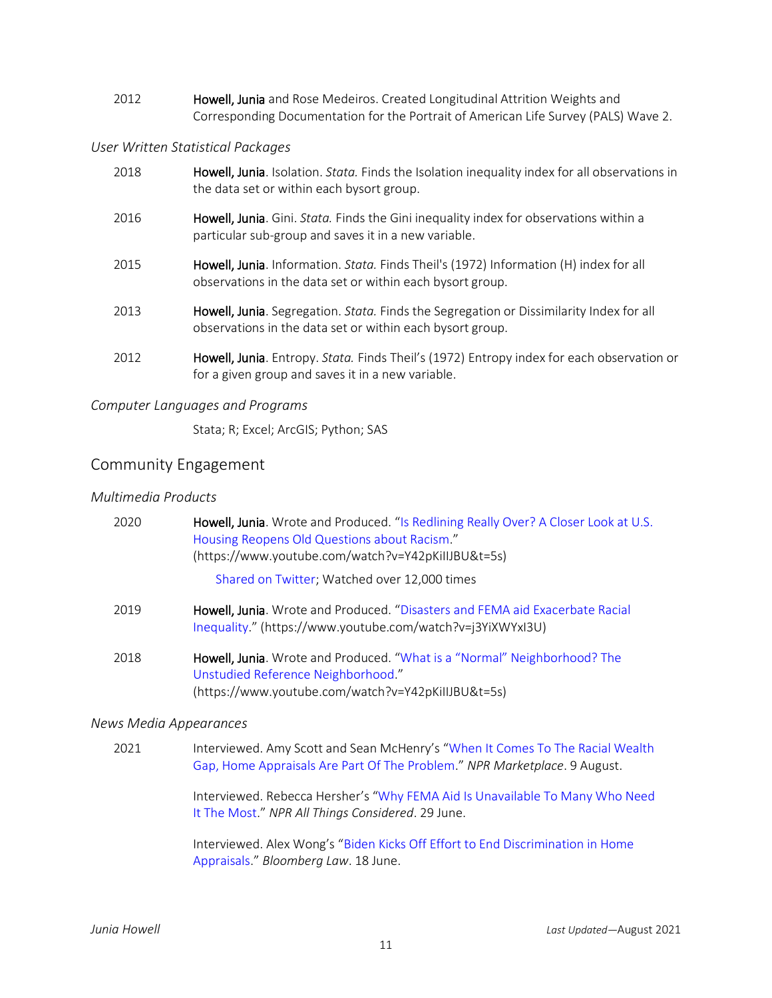2012 **Howell, Junia** and Rose Medeiros. Created Longitudinal Attrition Weights and Corresponding Documentation for the Portrait of American Life Survey (PALS) Wave 2.

## *User Written Statistical Packages*

| 2018 | Howell, Junia. Isolation. <i>Stata</i> . Finds the Isolation inequality index for all observations in<br>the data set or within each bysort group.        |
|------|-----------------------------------------------------------------------------------------------------------------------------------------------------------|
| 2016 | Howell, Junia. Gini. Stata. Finds the Gini inequality index for observations within a<br>particular sub-group and saves it in a new variable.             |
| 2015 | Howell, Junia. Information. <i>Stata.</i> Finds Theil's (1972) Information (H) index for all<br>observations in the data set or within each bysort group. |
| 2013 | Howell, Junia. Segregation. Stata. Finds the Segregation or Dissimilarity Index for all<br>observations in the data set or within each bysort group.      |
| 2012 | Howell, Junia. Entropy. Stata. Finds Theil's (1972) Entropy index for each observation or<br>for a given group and saves it in a new variable.            |

## *Computer Languages and Programs*

Stata; R; Excel; ArcGIS; Python; SAS

# Community Engagement

#### *Multimedia Products*

| 2020 | Howell, Junia. Wrote and Produced. "Is Redlining Really Over? A Closer Look at U.S.<br>Housing Reopens Old Questions about Racism."<br>(https://www.youtube.com/watch?v=Y42pKillJBU&t=5s) |
|------|-------------------------------------------------------------------------------------------------------------------------------------------------------------------------------------------|
|      | Shared on Twitter; Watched over 12,000 times                                                                                                                                              |
| 2019 | Howell, Junia. Wrote and Produced. "Disasters and FEMA aid Exacerbate Racial<br>Inequality." (https://www.youtube.com/watch?v=j3YiXWYxI3U)                                                |
| 2018 | Howell, Junia. Wrote and Produced. "What is a "Normal" Neighborhood? The<br>Unstudied Reference Neighborhood."<br>(https://www.youtube.com/watch?v=Y42pKillJBU&t=5s)                      |

#### *News Media Appearances*

2021 Interviewed. Amy Scott and Sean McHenry's "When It Comes To The Racial Wealth [Gap, Home Appraisals Are Part Of The Problem](https://www.marketplace.org/2021/08/09/when-it-comes-to-the-racial-wealth-gap-home-appraisals-are-part-of-the-problem/)." *NPR Marketplace*. 9 August.

> Interviewed. Rebecca Hersher's "[Why FEMA Aid Is Unavailable To Many Who Need](https://www.npr.org/2021/06/29/1004347023/why-fema-aid-is-unavailable-to-many-who-need-it-the-most)  [It The Most](https://www.npr.org/2021/06/29/1004347023/why-fema-aid-is-unavailable-to-many-who-need-it-the-most)." *NPR All Things Considered*. 29 June.

Interviewed. Alex Wong's "[Biden Kicks Off Effort to End](https://news.bloomberglaw.com/banking-law/biden-kicks-off-effort-to-end-discrimination-in-home-appraisals) Discrimination in Home [Appraisals](https://news.bloomberglaw.com/banking-law/biden-kicks-off-effort-to-end-discrimination-in-home-appraisals)." *Bloomberg Law*. 18 June.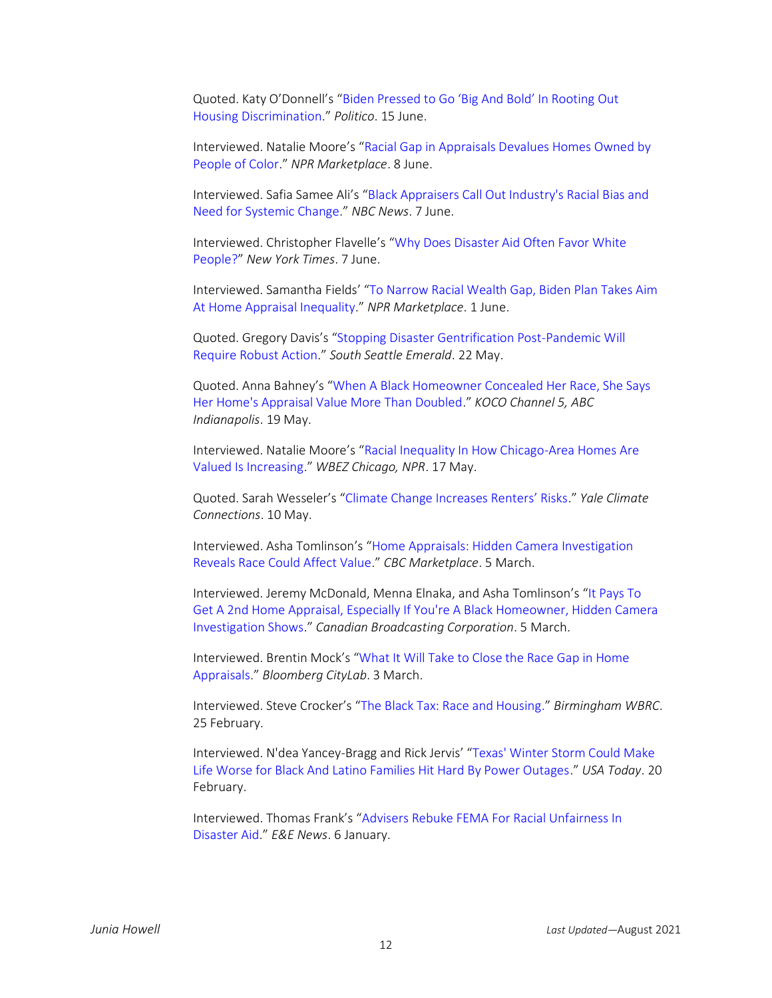Quoted. Katy O'Donnell's "Biden Pressed to [Go 'Big And Bold' In Rooting Out](https://www.politico.com/states/florida/story/2021/06/15/biden-pressed-to-go-big-and-bold-in-rooting-out-housing-discrimination-1386461)  [Housing Discrimination](https://www.politico.com/states/florida/story/2021/06/15/biden-pressed-to-go-big-and-bold-in-rooting-out-housing-discrimination-1386461)." *Politico*. 15 June.

Interviewed. Natalie Moore's "[Racial Gap in Appraisals Devalues Homes Owned by](https://www.marketplace.org/2021/06/08/racial-gap-in-appraisals-devalues-homes-owned-by-people-of-color/)  [People of Color](https://www.marketplace.org/2021/06/08/racial-gap-in-appraisals-devalues-homes-owned-by-people-of-color/)." *NPR Marketplace*. 8 June.

Interviewed. Safia Samee Ali's "[Black Appraisers Call Out Industry's Racial Bias and](https://www.nbcnews.com/news/us-news/black-appraisers-call-out-industry-s-racial-bias-need-systemic-n1269452)  [Need for Systemic Change](https://www.nbcnews.com/news/us-news/black-appraisers-call-out-industry-s-racial-bias-need-systemic-n1269452)." *NBC News*. 7 June.

Interviewed. Christopher Flavelle's "[Why Does Disaster Aid Often Favor White](https://www.nytimes.com/2021/06/07/climate/FEMA-race-climate.html)  [People?](https://www.nytimes.com/2021/06/07/climate/FEMA-race-climate.html)" *New York Times*. 7 June.

Interviewed. Samantha Fields' "[To Narrow Racial Wealth Gap, Biden Plan Takes Aim](https://www.marketplace.org/2021/06/01/biden-plan-takes-aim-inequality-home-appraisals/)  [At Home Appraisal Inequality](https://www.marketplace.org/2021/06/01/biden-plan-takes-aim-inequality-home-appraisals/)." *NPR Marketplace*. 1 June.

Quoted. Gregory Davis's "[Stopping Disaster Gentrification Post-Pandemic Will](https://southseattleemerald.com/2021/05/22/opinion-stopping-disaster-gentrification-post-pandemic-will-require-robust-action/)  [Require Robust Action](https://southseattleemerald.com/2021/05/22/opinion-stopping-disaster-gentrification-post-pandemic-will-require-robust-action/)." *South Seattle Emerald*. 22 May.

Quoted. Anna Bahney's "[When A Black Homeowner Concealed Her Race, She Says](https://www.koco.com/article/carlette-duffy-black-homeowner-home-appraisal/36482070)  [Her Home's Appraisal Value More Than Doubled](https://www.koco.com/article/carlette-duffy-black-homeowner-home-appraisal/36482070)." *KOCO Channel 5, ABC Indianapolis*. 19 May.

Interviewed. Natalie Moore's "[Racial Inequality In How Chicago-Area Homes Are](https://www.wbez.org/stories/racial-inequality-in-how-chicago-area-homes-are-valued-is-increasing/241643ab-6cba-4646-9660-af4f26acc6d8)  [Valued Is Increasing](https://www.wbez.org/stories/racial-inequality-in-how-chicago-area-homes-are-valued-is-increasing/241643ab-6cba-4646-9660-af4f26acc6d8)." *WBEZ Chicago, NPR*. 17 May.

Quoted. Sarah Wesseler's ["Climate Change Increases Renters' Risks.](https://yaleclimateconnections.org/2021/05/climate-change-increases-renters-risks/)" *Yale Climate Connections*. 10 May.

Interviewed. Asha Tomlinson's "[Home Appraisals: Hidden Camera Investigation](https://www.youtube.com/watch?v=mQoZPuL08dQ&ab_channel=CBCNews)  [Reveals Race Could Affect Value](https://www.youtube.com/watch?v=mQoZPuL08dQ&ab_channel=CBCNews)." *CBC Marketplace*. 5 March.

Interviewed. Jeremy McDonald, Menna Elnaka, and Asha Tomlinson's "[It Pays To](https://www.cbc.ca/news/canada/marketplace-home-appraisals-1.5935229)  [Get A 2nd Home Appraisal, Especially If You're A Black Homeowner, Hidden Camera](https://www.cbc.ca/news/canada/marketplace-home-appraisals-1.5935229)  [Investigation Shows](https://www.cbc.ca/news/canada/marketplace-home-appraisals-1.5935229)." *Canadian Broadcasting Corporation*. 5 March.

Interviewed. Brentin Mock's "[What It Will Take to Close the Race Gap in Home](https://www.bloomberg.com/news/articles/2021-03-03/appraisers-acknowledge-bias-in-home-valuations)  [Appraisals](https://www.bloomberg.com/news/articles/2021-03-03/appraisers-acknowledge-bias-in-home-valuations)." *Bloomberg CityLab*. 3 March.

Interviewed. Steve Crocker's "[The Black Tax: Race and Housing.](https://www.wbrc.com/2021/02/25/black-tax-race-housing/)" *Birmingham WBRC*. 25 February.

Interviewed. N'dea Yancey-Bragg and Rick Jervis' "[Texas' Winter Storm Could Make](https://www.usatoday.com/story/news/nation/2021/02/20/texas-ice-storm-blackouts-minorities-hardest-hit-recovery/4507638001/)  [Life Worse for Black And Latino Families Hit Hard By Power Outages](https://www.usatoday.com/story/news/nation/2021/02/20/texas-ice-storm-blackouts-minorities-hardest-hit-recovery/4507638001/)." *USA Today*. 20 February.

Interviewed. Thomas Frank's "[Advisers Rebuke FEMA For Racial Unfairness In](https://www.eenews.net/climatewire/2021/01/06/stories/1063721851)  [Disaster Aid](https://www.eenews.net/climatewire/2021/01/06/stories/1063721851)." *E&E News*. 6 January.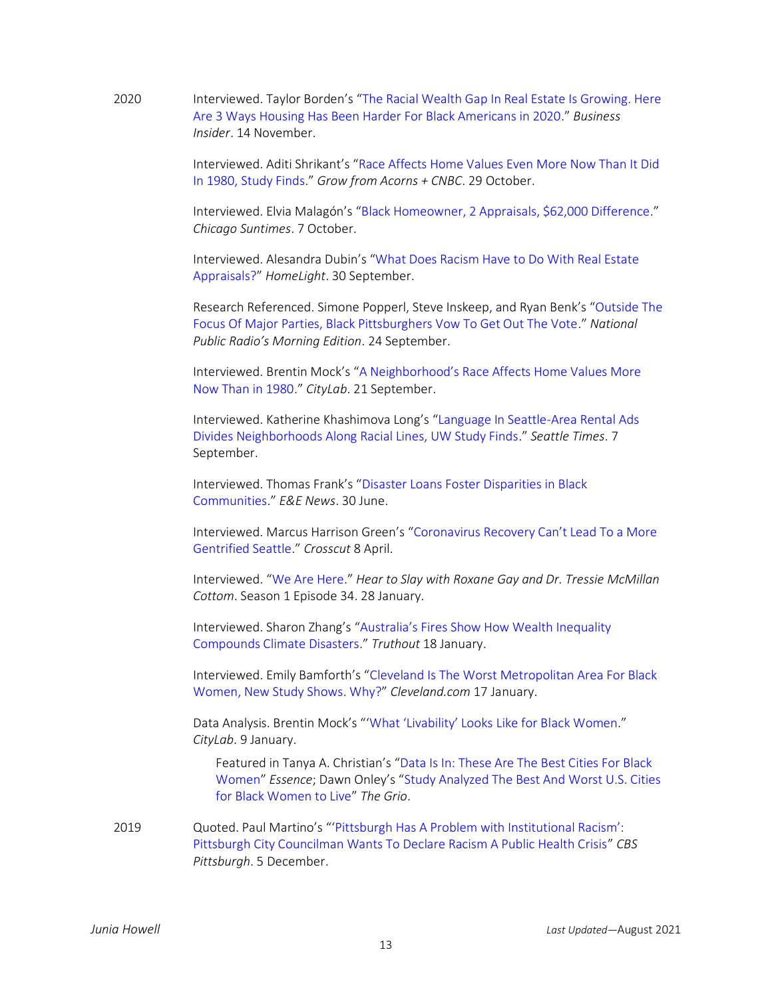2020 Interviewed. Taylor Borden's "[The Racial Wealth Gap In Real Estate Is Growing. Here](https://www.businessinsider.com/race-real-estate-wealth-gap-housing-redfin-black-americans-2020-11)  [Are 3 Ways Housing Has Been Harder For Black Americans in 2020.](https://www.businessinsider.com/race-real-estate-wealth-gap-housing-redfin-black-americans-2020-11)" *Business Insider*. 14 November.

> Interviewed. Aditi Shrikant's "[Race Affects Home Values Even More Now Than It Did](https://grow.acorns.com/how-race-affects-home-values-ownership/)  [In 1980, Study Finds](https://grow.acorns.com/how-race-affects-home-values-ownership/)." *Grow from Acorns + CNBC*. 29 October.

> Interviewed. Elvia Malagón's "[Black Homeowner, 2 Appraisals, \\$62,000 Difference](https://chicago.suntimes.com/2020/10/7/21493755/chicago-home-appraisal-black-race-homeowners)." *Chicago Suntimes*. 7 October.

Interviewed. Alesandra Dubin's "[What Does Racism Have to Do With Real Estate](https://www.homelight.com/blog/buyer-real-estate-appraisals-racism/)  [Appraisals?](https://www.homelight.com/blog/buyer-real-estate-appraisals-racism/)" *HomeLight*. 30 September.

Research Referenced. Simone Popperl, Steve Inskeep, and Ryan Benk's "[Outside The](https://www.npr.org/2020/09/24/915602106/outside-the-focus-of-major-parties-black-pittsburghers-vow-to-get-out-the-vote)  [Focus Of Major Parties, Black Pittsburghers Vow To Get Out The Vote](https://www.npr.org/2020/09/24/915602106/outside-the-focus-of-major-parties-black-pittsburghers-vow-to-get-out-the-vote)." *National Public Radio's Morning Edition*. 24 September.

Interviewed. Brentin Mock's ["A Neighborhood's Race Affects Home Values More](https://www.bloomberg.com/news/articles/2020-09-21/race-gap-in-home-appraisals-has-doubled-since-1980)  [Now Than in 1980](https://www.bloomberg.com/news/articles/2020-09-21/race-gap-in-home-appraisals-has-doubled-since-1980)." *CityLab*. 21 September.

Interviewed. Katherine Khashimova Long's "[Language In Seattle-Area Rental Ads](https://www.seattletimes.com/business/real-estate/language-in-seattle-area-rental-ads-divides-neighborhoods-on-racial-lines-uw-study-finds/)  [Divides Neighborhoods Along Racial Lines, UW Study Finds](https://www.seattletimes.com/business/real-estate/language-in-seattle-area-rental-ads-divides-neighborhoods-on-racial-lines-uw-study-finds/)." *Seattle Times*. 7 September.

Interviewed. Thomas Frank's "[Disaster Loans Foster Disparities in Black](http://www.eenews.net/stories/1063477407)  [Communities](http://www.eenews.net/stories/1063477407)." *E&E News*. 30 June.

Interviewed. Marcus Harrison Green's "Coronavirus R[ecovery Can't Lead To a More](https://crosscut.com/2020/04/%20coronavirus-recovery-cant-lead-more-gentrified-seattle)  [Gentrified Seattle](https://crosscut.com/2020/04/%20coronavirus-recovery-cant-lead-more-gentrified-seattle)." *Crosscut* 8 April.

Interviewed. "[We Are Here](https://luminarypodcasts.com/listen/roxane-gay-and-dr-tressie-mcmillan-cottom/hear-to-slay/we-are-here/787387bc-8c69-4995-81a5-9a41f2680385)." *Hear to Slay with Roxane Gay and Dr. Tressie McMillan Cottom*. Season 1 Episode 34. 28 January.

Interviewed. Sharon Zhang's "Australia's Fir[es Show How Wealth Inequality](https://truthout.org/articles/australias-fires-show-how-wealth-inequality-compounds-climate-disasters/)  [Compounds Climate Disasters](https://truthout.org/articles/australias-fires-show-how-wealth-inequality-compounds-climate-disasters/)." *Truthout* 18 January.

Interviewed. Emily Bamforth's "[Cleveland Is The Worst Metropolitan Area For Black](https://www.cleveland.com/news/2020/01/cleveland-is-the-worst-metropolitan-area-for-black-women-new-study-shows-why.html)  [Women, New Study Shows. Why?](https://www.cleveland.com/news/2020/01/cleveland-is-the-worst-metropolitan-area-for-black-women-new-study-shows-why.html)" *Cleveland.com* 17 January.

Data Analysis. Brentin Mock's "['What 'Livability' Looks Like for Bl](https://www.citylab.com/equity/2020/01/best-cities-black-women/604384/)ack Women." *CityLab*. 9 January.

Featured in Tanya A. Christian's "[Data Is In: These Are The Best Cities For Black](https://www.essence.com/news/best-metro-areas-black-women/)  [Women](https://www.essence.com/news/best-metro-areas-black-women/)" *Essence*; Dawn Onley's "[Study Analyzed The Best And Worst U.S. Cities](https://thegrio.com/2020/01/10/study-analyzed-the-best-and-worst-u-s-cities-for-black-women-to-live/)  [for Black Women to Live](https://thegrio.com/2020/01/10/study-analyzed-the-best-and-worst-u-s-cities-for-black-women-to-live/)" *The Grio*.

2019 Quoted. Paul Martino's "'[Pittsburgh Has A Problem with](https://pittsburgh.cbslocal.com/2019/12/05/councilman-ricky-burgess-wants-to-declare-racism-a-public-health-crisis/) Institutional Racism': [Pittsburgh City Councilman Wants To Declare Racism A Public Health Crisis](https://pittsburgh.cbslocal.com/2019/12/05/councilman-ricky-burgess-wants-to-declare-racism-a-public-health-crisis/)" *CBS Pittsburgh*. 5 December.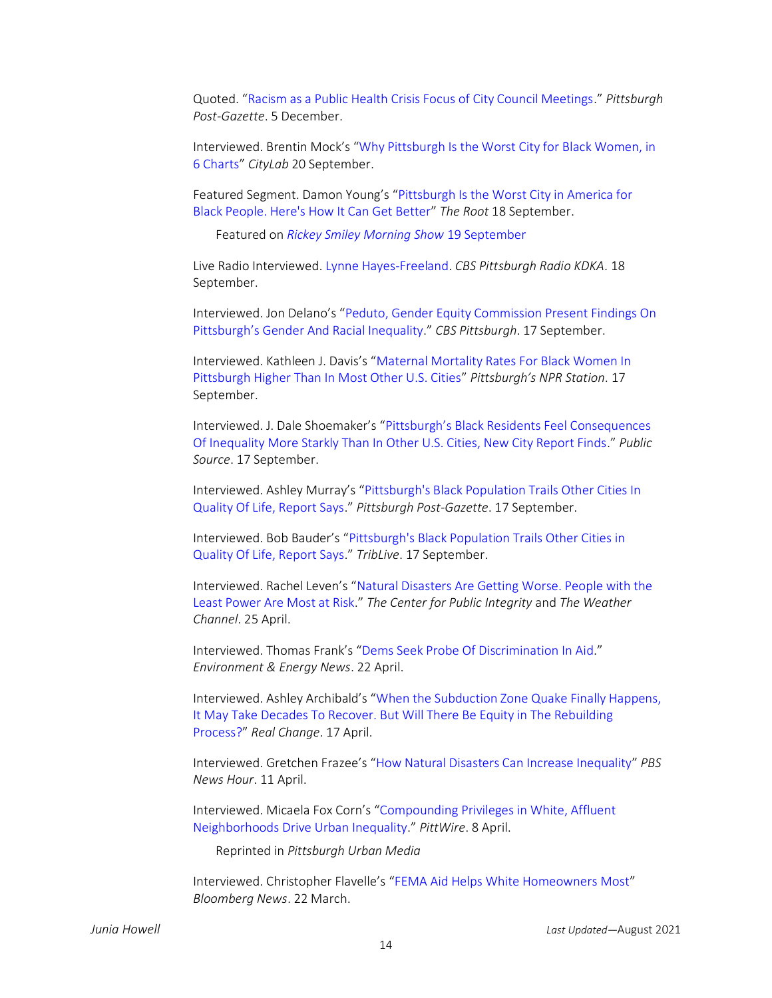Quoted. "[Racism as a Public Health Crisis Focus of City Council Meetings](https://www.post-gazette.com/local/city/2019/12/05/Racism-public-health-crisis-Pittsburgh-city-council-Burgess-Lavelle-inequality-gender-race/stories/201912050123)." *Pittsburgh Post-Gazette*. 5 December.

Interviewed. Brentin Mock's "[Why Pittsburgh Is the Worst City for Black Women, in](https://www.citylab.com/equity/2019/09/black-women-pittsburgh-mortality-poverty-racism-jobs-police/598291/)  [6 Charts](https://www.citylab.com/equity/2019/09/black-women-pittsburgh-mortality-poverty-racism-jobs-police/598291/)" *CityLab* 20 September.

Featured Segment. Damon Young's "[Pittsburgh Is the Worst City in America for](https://verysmartbrothas.theroot.com/pittsburgh-is-the-worst-city-in-america-for-black-peopl-1838218551)  [Black People. Here's How It Can Get Better](https://verysmartbrothas.theroot.com/pittsburgh-is-the-worst-city-in-america-for-black-peopl-1838218551)" *The Root* 18 September.

Featured on *[Rickey Smiley Morning Show](https://www.youtube.com/watch?v=Me9GIPBskbE)* 19 September

Live Radio Interviewed. [Lynne Hayes-Freeland.](https://kdkaradio.radio.com/hosts/lynne-hayes-freeland) *CBS Pittsburgh Radio KDKA*. 18 September.

Interviewed. Jon Delano's "[Peduto, Gender Equity Commission Present Findings On](https://pittsburgh.cbslocal.com/video/4168392-peduto-gender-equity-commission-present-findings-on-pittsburghs-gender-and-racial-inequality/)  Pittsburgh['s Gender And Racial Inequality.](https://pittsburgh.cbslocal.com/video/4168392-peduto-gender-equity-commission-present-findings-on-pittsburghs-gender-and-racial-inequality/)" *CBS Pittsburgh*. 17 September.

Interviewed. Kathleen J. Davis's "[Maternal Mortality Rates For Black Women In](https://www.wesa.fm/post/maternal-mortality-rates-black-women-pittsburgh-higher-most-other-us-cities#stream/0)  [Pittsburgh Higher Than In Most Other U.S. Cities](https://www.wesa.fm/post/maternal-mortality-rates-black-women-pittsburgh-higher-most-other-us-cities#stream/0)" *Pittsburgh's NPR Station*. 17 September.

Interviewed. J. Dale Shoemaker's ["Pittsburgh's Black Residents Feel Consequences](https://www.publicsource.org/pittsburghs-black-residents-feel-consequences-of-inequality-more-starkly-than-in-other-u-s-cities-new-city-report-finds/)  [Of Inequality More Starkly Than In Other U.S. Cities, New City Report Finds](https://www.publicsource.org/pittsburghs-black-residents-feel-consequences-of-inequality-more-starkly-than-in-other-u-s-cities-new-city-report-finds/)." *Public Source*. 17 September.

Interviewed. Ashley Murray's "[Pittsburgh's Black Population Trails Other Cities In](https://www.post-gazette.com/local/city/2019/09/17/Pittsburgh-black-population-better-life-quality-comparable-city-gender-equity-commission-race/stories/201909170114)  [Quality Of Life, Report Says](https://www.post-gazette.com/local/city/2019/09/17/Pittsburgh-black-population-better-life-quality-comparable-city-gender-equity-commission-race/stories/201909170114)." *Pittsburgh Post-Gazette*. 17 September.

Interviewed. Bob Bauder's "[Pittsburgh's Black Population Trails Other Cities in](https://triblive.com/local/pittsburgh-allegheny/report-offers-stark-picture-of-inequalities-by-gender-race-in-pittsburgh/)  [Quality Of Life, Report Says](https://triblive.com/local/pittsburgh-allegheny/report-offers-stark-picture-of-inequalities-by-gender-race-in-pittsburgh/)." *TribLive*. 17 September.

Interviewed. Rachel Leven's "[Natural Disasters Are Getting Worse. People with the](https://publicintegrity.org/environment/climate-change-natural-disasters/%20and%20https:/features.weather.com/collateral/natural-disasters-inequality/)  [Least Power Are Most at Risk](https://publicintegrity.org/environment/climate-change-natural-disasters/%20and%20https:/features.weather.com/collateral/natural-disasters-inequality/)." *The Center for Public Integrity* and *The Weather Channel*. 25 April.

Interviewed. Thomas Frank's "[Dems Seek Probe Of Discrimination In Aid](https://www.eenews.net/climatewire/2019/04/22/stories/1060196213)." *Environment & Energy News*. 22 April.

Interviewed. Ashley Archibald's "[When the Subduction Zone Quake Finally Happens,](https://www.realchangenews.org/2019/04/17/when-subduction-zone-quake-finally-happens-it-may-take-decades-recover-will-there-be)  [It May Take Decades To Recover. But Will There Be Equity in The Rebuilding](https://www.realchangenews.org/2019/04/17/when-subduction-zone-quake-finally-happens-it-may-take-decades-recover-will-there-be)  [Process?](https://www.realchangenews.org/2019/04/17/when-subduction-zone-quake-finally-happens-it-may-take-decades-recover-will-there-be)" *Real Change*. 17 April.

Interviewed. Gretchen Frazee's "[How Natural Disasters Can Increase Inequality](https://www.pbs.org/newshour/economy/making-sense/how-natural-disasters-can-increase-inequality)" *PBS News Hour*. 11 April.

Interviewed. Micaela Fox Corn's "[Compounding Privileges in White, Affluent](https://www.pittwire.pitt.edu/news/compounding-privileges-white-affluent-neighborhoods-drive-urban-inequality)  [Neighborhoods Drive Urban Inequality](https://www.pittwire.pitt.edu/news/compounding-privileges-white-affluent-neighborhoods-drive-urban-inequality)." *PittWire*. 8 April.

Reprinted in *Pittsburgh Urban Media*

Interviewed. Christopher Flavelle's "[FEMA Aid Helps White Homeowners Most](https://www.bloomberg.com/news/articles/2019-03-22/fema-aid-helps-white-homeowners-most)" *Bloomberg News*. 22 March.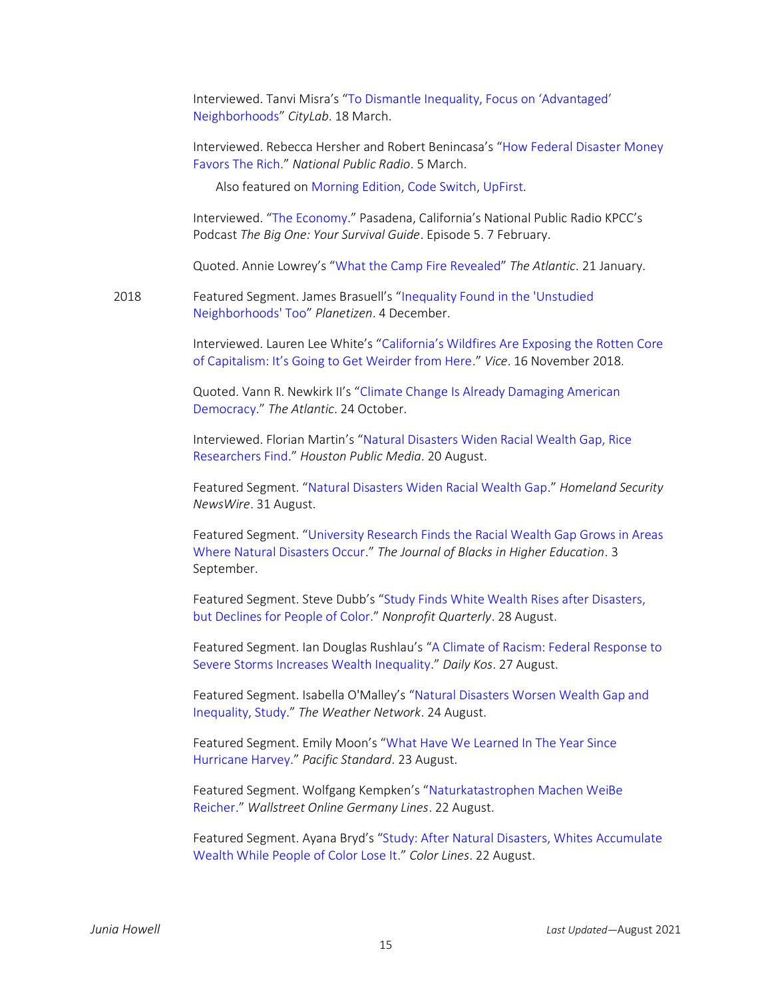Interviewed. Tanvi Misra's ["To Dismantle Inequality, Focus on 'Advantaged'](https://www.citylab.com/equity/2019/03/social-inequality-data-race-wealth-education-white-privilege/584761/)  [Neighborhoods](https://www.citylab.com/equity/2019/03/social-inequality-data-race-wealth-education-white-privilege/584761/)" *CityLab*. 18 March.

Interviewed. Rebecca Hersher and Robert Benincasa's "[How Federal Disaster Money](https://www.npr.org/2019/03/05/688786177/how-federal-disaster-money-favors-the-rich)  [Favors The Rich](https://www.npr.org/2019/03/05/688786177/how-federal-disaster-money-favors-the-rich)." *National Public Radio*. 5 March.

Also featured o[n Morning Edition,](https://www.npr.org/2019/03/05/700289776/minorities-likely-to-receive-less-disaster-aid-than-white-americans) [Code Switch,](https://www.npr.org/transcripts/700539867) [UpFirst.](https://www.npr.org/2019/03/05/700282097/tuesday-march-5th-2019)

Interviewed. "[The Economy](https://the-big-one.scpr.org/)." Pasadena, California's National Public Radio KPCC's Podcast *The Big One: Your Survival Guide*. Episode 5. 7 February.

Quoted. Annie Lowrey's "[What the Camp Fire Revealed](https://www.theatlantic.com/ideas/archive/2019/01/why-natural-disasters-are-worse-poor/580846/)" *The Atlantic*. 21 January.

2018 Featured Segment. James Brasuell's "[Inequality Found in the 'Unstudied](https://www.planetizen.com/news/2018/12/101812-inequality-found-unstudied-neighborhoods-too)  [Neighborhoods' Too](https://www.planetizen.com/news/2018/12/101812-inequality-found-unstudied-neighborhoods-too)" *Planetizen*. 4 December.

> Interviewed. Lauren Lee White's ["California's Wildfires Are Exposing the Rotten Core](https://www.vice.com/en_us/article/8xpgz4/californias-wildfires-are-exposing-the-rotten-core-of-capitalism)  [of Capitalism: It's Going to Get Weirder from Here.](https://www.vice.com/en_us/article/8xpgz4/californias-wildfires-are-exposing-the-rotten-core-of-capitalism)" *Vice*. 16 November 2018.

Quoted. Vann R. Newkirk II's "[Climate Change Is Already Damaging American](https://www.theatlantic.com/politics/archive/2018/10/climate-change-damaging-american-democracy/573769/)  [Democracy](https://www.theatlantic.com/politics/archive/2018/10/climate-change-damaging-american-democracy/573769/)." *The Atlantic*. 24 October.

Interviewed. Florian Martin's "[Natural Disasters Widen Racial Wealth Gap, Rice](https://www.houstonpublicmedia.org/articles/news/2018/08/20/300913/natural-disasters-widen-racial-wealth-gap-rice-researchers-find/)  [Researchers Find](https://www.houstonpublicmedia.org/articles/news/2018/08/20/300913/natural-disasters-widen-racial-wealth-gap-rice-researchers-find/)." *Houston Public Media*. 20 August.

Featured Segment. "[Natural Disasters Widen Racial Wealth Gap](http://www.homelandsecuritynewswire.com/dr20180831-natural-disasters-widen-racial-wealth-gap)." *Homeland Security NewsWire*. 31 August.

Featured Segment. "[University Research Finds the Racial Wealth Gap Grows in Areas](https://www.jbhe.com/2018/09/university-research-finds-the-racial-wealth-gap-grows-in-areas-where-natural-disasters-occur/)  [Where Natural Disasters Occur](https://www.jbhe.com/2018/09/university-research-finds-the-racial-wealth-gap-grows-in-areas-where-natural-disasters-occur/)." *The Journal of Blacks in Higher Education*. 3 September.

Featured Segment. Steve Dubb's "[Study Finds White Wealth Rises after Disasters,](https://nonprofitquarterly.org/2018/08/28/study-finds-white-wealth-rises-after-disasters-but-declines-for-people-of-color/)  [but Declines for People of Color](https://nonprofitquarterly.org/2018/08/28/study-finds-white-wealth-rises-after-disasters-but-declines-for-people-of-color/)." *Nonprofit Quarterly*. 28 August.

Featured Segment. Ian Douglas Rushlau's "[A Climate of Racism: Federal](https://www.dailykos.com/stories/2018/8/27/1791280/-A-Climate-of-Racism-federal-response-to-severe-storms-increases-wealth-inequality) Response to [Severe Storms Increases Wealth Inequality](https://www.dailykos.com/stories/2018/8/27/1791280/-A-Climate-of-Racism-federal-response-to-severe-storms-increases-wealth-inequality)." *Daily Kos*. 27 August.

Featured Segment. Isabella O'Malley's "Natural [Disasters Worsen Wealth Gap and](https://www.theweathernetwork.com/news/articles/natural-disasters-worsen-wealth-gap-inequality-climate-change-extreme-weather-poverty/109935)  [Inequality, Study](https://www.theweathernetwork.com/news/articles/natural-disasters-worsen-wealth-gap-inequality-climate-change-extreme-weather-poverty/109935)." *The Weather Network*. 24 August.

Featured Segment. Emily Moon's "What Have [We Learned In The Year Since](https://psmag.com/environment/what-have-we-learned-in-the-year-since-hurricane-harvey)  [Hurricane Harvey](https://psmag.com/environment/what-have-we-learned-in-the-year-since-hurricane-harvey)." *Pacific Standard*. 23 August.

Featured Segment. Wolfgang Kempken's "[Naturkatastrophen Machen WeiBe](https://www.wallstreet-online.de/nachricht/10813335-usa-naturkatastrophen-weisse-reicher)  [Reicher](https://www.wallstreet-online.de/nachricht/10813335-usa-naturkatastrophen-weisse-reicher)." *Wallstreet Online Germany Lines*. 22 August.

Featured Segment. Ayana Bryd's "[Study: After Natural Disasters, Whites](https://www.colorlines.com/articles/study-after-natural-disasters-whites-accumulate-wealth-while-people-color-lose-it) Accumulate [Wealth While People of Color Lose It](https://www.colorlines.com/articles/study-after-natural-disasters-whites-accumulate-wealth-while-people-color-lose-it)." *Color Lines*. 22 August.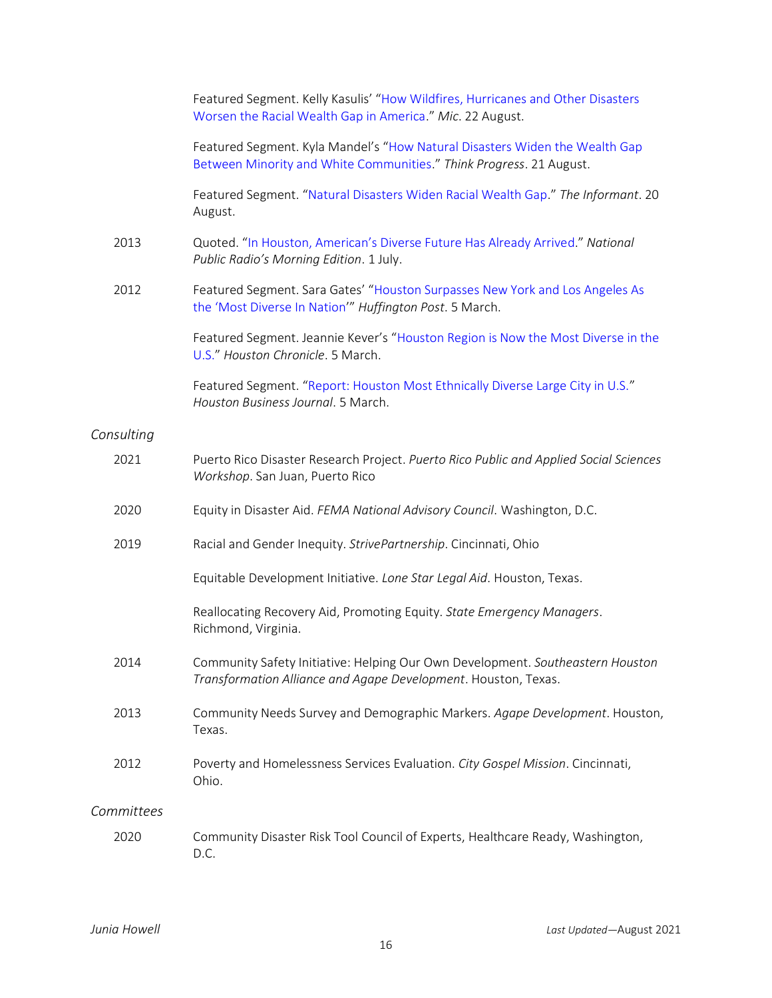|            | Featured Segment. Kelly Kasulis' "How Wildfires, Hurricanes and Other Disasters<br>Worsen the Racial Wealth Gap in America." Mic. 22 August.       |
|------------|----------------------------------------------------------------------------------------------------------------------------------------------------|
|            | Featured Segment. Kyla Mandel's "How Natural Disasters Widen the Wealth Gap<br>Between Minority and White Communities." Think Progress. 21 August. |
|            | Featured Segment. "Natural Disasters Widen Racial Wealth Gap." The Informant. 20<br>August.                                                        |
| 2013       | Quoted. "In Houston, American's Diverse Future Has Already Arrived." National<br>Public Radio's Morning Edition. 1 July.                           |
| 2012       | Featured Segment. Sara Gates' "Houston Surpasses New York and Los Angeles As<br>the 'Most Diverse In Nation'" Huffington Post. 5 March.            |
|            | Featured Segment. Jeannie Kever's "Houston Region is Now the Most Diverse in the<br>U.S." Houston Chronicle. 5 March.                              |
|            | Featured Segment. "Report: Houston Most Ethnically Diverse Large City in U.S."<br>Houston Business Journal. 5 March.                               |
| Consulting |                                                                                                                                                    |
| 2021       | Puerto Rico Disaster Research Project. Puerto Rico Public and Applied Social Sciences<br>Workshop. San Juan, Puerto Rico                           |
| 2020       | Equity in Disaster Aid. FEMA National Advisory Council. Washington, D.C.                                                                           |
| 2019       | Racial and Gender Inequity. StrivePartnership. Cincinnati, Ohio                                                                                    |
|            | Equitable Development Initiative. Lone Star Legal Aid. Houston, Texas.                                                                             |
|            | Reallocating Recovery Aid, Promoting Equity. State Emergency Managers.<br>Richmond, Virginia.                                                      |
| 2014       | Community Safety Initiative: Helping Our Own Development. Southeastern Houston<br>Transformation Alliance and Agape Development. Houston, Texas.   |
| 2013       | Community Needs Survey and Demographic Markers. Agape Development. Houston,<br>Texas.                                                              |
| 2012       | Poverty and Homelessness Services Evaluation. City Gospel Mission. Cincinnati,<br>Ohio.                                                            |
| Committees |                                                                                                                                                    |
| 2020       | Community Disaster Risk Tool Council of Experts, Healthcare Ready, Washington,<br>D.C.                                                             |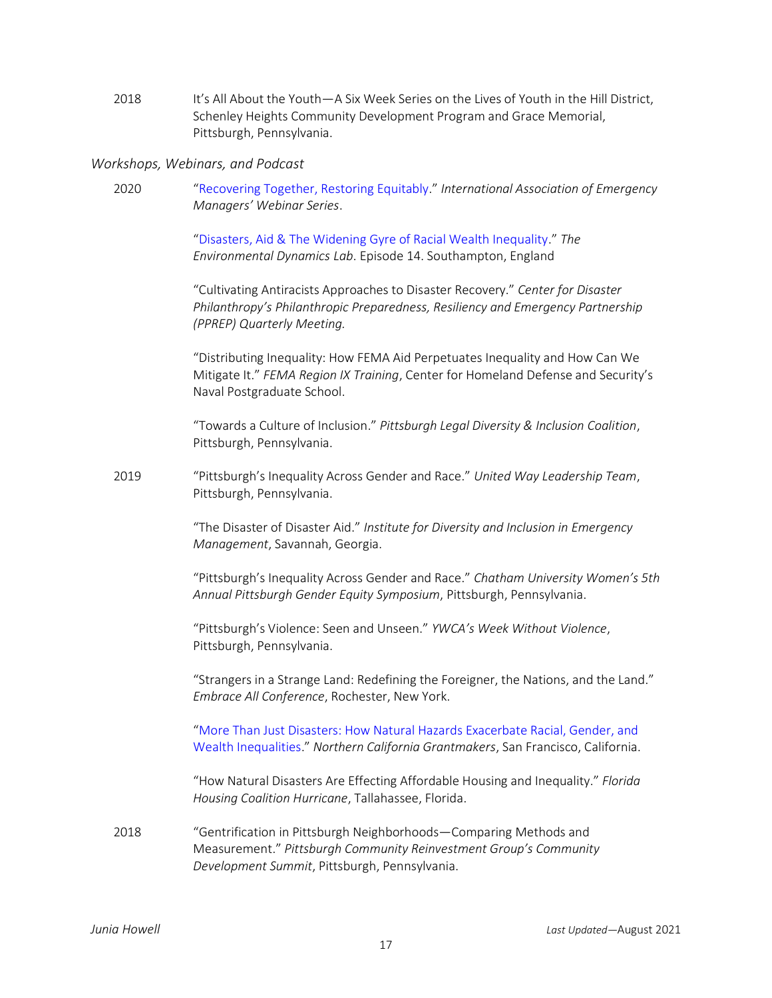2018 It's All About the Youth—A Six Week Series on the Lives of Youth in the Hill District, Schenley Heights Community Development Program and Grace Memorial, Pittsburgh, Pennsylvania.

#### *Workshops, Webinars, and Podcast*

2020 "[Recovering Together, Restoring Equitably](https://m.youtube.com/watch?v=79-D1U0UMmQ&feature=youtu.be)." *International Association of Emergency Managers' Webinar Series*.

> "[Disasters, Aid & The Widening Gyre of Racial Wealth Inequality](https://envidynxlab.org/portfolio/geographies-of-risk-podcast/#episode14)." *The Environmental Dynamics Lab*. Episode 14. Southampton, England

"Cultivating Antiracists Approaches to Disaster Recovery." *Center for Disaster Philanthropy's Philanthropic Preparedness, Resiliency and Emergency Partnership (PPREP) Quarterly Meeting.*

"Distributing Inequality: How FEMA Aid Perpetuates Inequality and How Can We Mitigate It." *FEMA Region IX Training*, Center for Homeland Defense and Security's Naval Postgraduate School.

"Towards a Culture of Inclusion." *Pittsburgh Legal Diversity & Inclusion Coalition*, Pittsburgh, Pennsylvania.

2019 "Pittsburgh's Inequality Across Gender and Race." *United Way Leadership Team*, Pittsburgh, Pennsylvania.

> "The Disaster of Disaster Aid." *Institute for Diversity and Inclusion in Emergency Management*, Savannah, Georgia.

"Pittsburgh's Inequality Across Gender and Race." *Chatham University Women's 5th Annual Pittsburgh Gender Equity Symposium*, Pittsburgh, Pennsylvania.

"Pittsburgh's Violence: Seen and Unseen." *YWCA's Week Without Violence*, Pittsburgh, Pennsylvania.

"Strangers in a Strange Land: Redefining the Foreigner, the Nations, and the Land." *Embrace All Conference*, Rochester, New York.

"[More Than Just Disasters: How Natural Hazards Exacerbate Racial, Gender, and](https://us02web.zoom.us/rec/play/PtgaiX6JGcON0IUHJ57G5GaONtj66xsj0bcjsQBshGpgzaA-SJsQs6dlSVCN-u0HyCLP2wjHfVFP6U0I.IHJzifvTILocraDa?startTime=1566410421000&_x_zm_rtaid=kNK3iNLxTUaRlMwz20IAgg.1601041700347.19456c7b96029aeed6a434bf2937c0a6&_x_zm_rhtaid=912)  [Wealth Inequalities.](https://us02web.zoom.us/rec/play/PtgaiX6JGcON0IUHJ57G5GaONtj66xsj0bcjsQBshGpgzaA-SJsQs6dlSVCN-u0HyCLP2wjHfVFP6U0I.IHJzifvTILocraDa?startTime=1566410421000&_x_zm_rtaid=kNK3iNLxTUaRlMwz20IAgg.1601041700347.19456c7b96029aeed6a434bf2937c0a6&_x_zm_rhtaid=912)" *Northern California Grantmakers*, San Francisco, California.

"How Natural Disasters Are Effecting Affordable Housing and Inequality." *Florida Housing Coalition Hurricane*, Tallahassee, Florida.

2018 "Gentrification in Pittsburgh Neighborhoods—Comparing Methods and Measurement." *Pittsburgh Community Reinvestment Group's Community Development Summit*, Pittsburgh, Pennsylvania.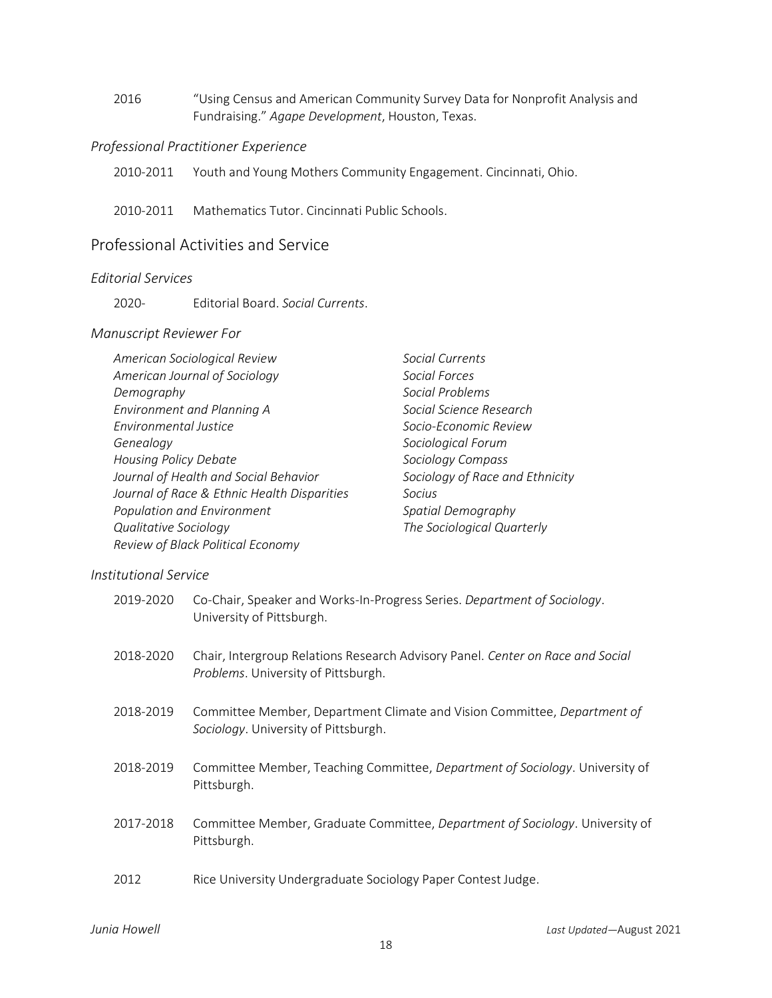2016 "Using Census and American Community Survey Data for Nonprofit Analysis and Fundraising." *Agape Development*, Houston, Texas.

### *Professional Practitioner Experience*

2010-2011 Youth and Young Mothers Community Engagement. Cincinnati, Ohio.

2010-2011 Mathematics Tutor. Cincinnati Public Schools.

# Professional Activities and Service

## *Editorial Services*

2020- Editorial Board. *Social Currents*.

### *Manuscript Reviewer For*

| American Sociological Review                | Social Currents                 |
|---------------------------------------------|---------------------------------|
| American Journal of Sociology               | Social Forces                   |
| Demography                                  | Social Problems                 |
| Environment and Planning A                  | Social Science Research         |
| Environmental Justice                       | Socio-Economic Review           |
| Genealogy                                   | Sociological Forum              |
| <b>Housing Policy Debate</b>                | Sociology Compass               |
| Journal of Health and Social Behavior       | Sociology of Race and Ethnicity |
| Journal of Race & Ethnic Health Disparities | Socius                          |
| Population and Environment                  | Spatial Demography              |
| Qualitative Sociology                       | The Sociological Quarterly      |
| Review of Black Political Economy           |                                 |
|                                             |                                 |

## *Institutional Service*

| 2019-2020 | Co-Chair, Speaker and Works-In-Progress Series. Department of Sociology.<br>University of Pittsburgh.                        |
|-----------|------------------------------------------------------------------------------------------------------------------------------|
| 2018-2020 | Chair, Intergroup Relations Research Advisory Panel. Center on Race and Social<br><i>Problems.</i> University of Pittsburgh. |
| 2018-2019 | Committee Member, Department Climate and Vision Committee, Department of<br><i>Sociology.</i> University of Pittsburgh.      |
| 2018-2019 | Committee Member, Teaching Committee, Department of Sociology. University of<br>Pittsburgh.                                  |
| 2017-2018 | Committee Member, Graduate Committee, <i>Department of Sociology</i> . University of<br>Pittsburgh.                          |
| 2012      | Rice University Undergraduate Sociology Paper Contest Judge.                                                                 |